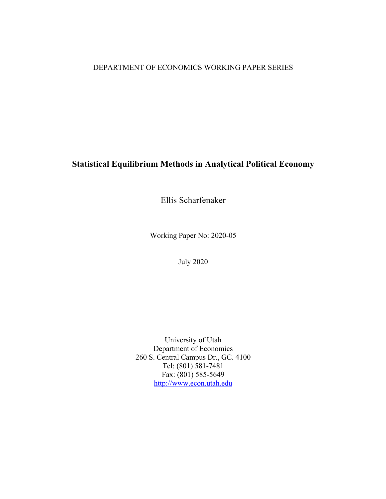### DEPARTMENT OF ECONOMICS WORKING PAPER SERIES

### **Statistical Equilibrium Methods in Analytical Political Economy**

Ellis Scharfenaker

Working Paper No: 2020-05

July 2020

University of Utah Department of Economics 260 S. Central Campus Dr., GC. 4100 Tel: (801) 581-7481 Fax: (801) 585-5649 http://www.econ.utah.edu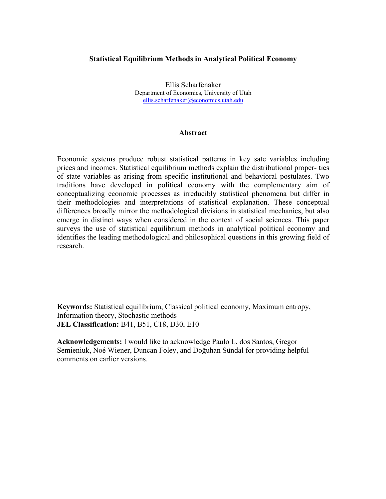#### **Statistical Equilibrium Methods in Analytical Political Economy**

Ellis Scharfenaker Department of Economics, University of Utah ellis.scharfenaker@economics.utah.edu

#### **Abstract**

Economic systems produce robust statistical patterns in key sate variables including prices and incomes. Statistical equilibrium methods explain the distributional proper- ties of state variables as arising from specific institutional and behavioral postulates. Two traditions have developed in political economy with the complementary aim of conceptualizing economic processes as irreducibly statistical phenomena but differ in their methodologies and interpretations of statistical explanation. These conceptual differences broadly mirror the methodological divisions in statistical mechanics, but also emerge in distinct ways when considered in the context of social sciences. This paper surveys the use of statistical equilibrium methods in analytical political economy and identifies the leading methodological and philosophical questions in this growing field of research.

**Keywords:** Statistical equilibrium, Classical political economy, Maximum entropy, Information theory, Stochastic methods **JEL Classification:** B41, B51, C18, D30, E10

**Acknowledgements:** I would like to acknowledge Paulo L. dos Santos, Gregor Semieniuk, Noé Wiener, Duncan Foley, and Doğuhan Sündal for providing helpful comments on earlier versions.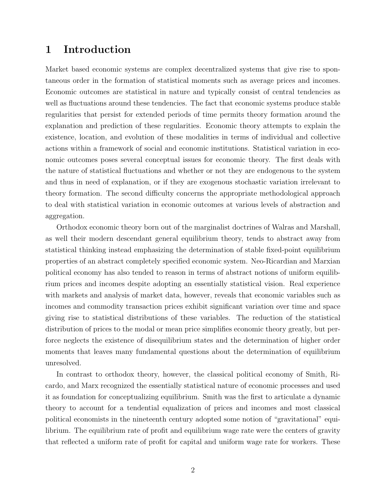### 1 Introduction

Market based economic systems are complex decentralized systems that give rise to spontaneous order in the formation of statistical moments such as average prices and incomes. Economic outcomes are statistical in nature and typically consist of central tendencies as well as fluctuations around these tendencies. The fact that economic systems produce stable regularities that persist for extended periods of time permits theory formation around the explanation and prediction of these regularities. Economic theory attempts to explain the existence, location, and evolution of these modalities in terms of individual and collective actions within a framework of social and economic institutions. Statistical variation in economic outcomes poses several conceptual issues for economic theory. The first deals with the nature of statistical fluctuations and whether or not they are endogenous to the system and thus in need of explanation, or if they are exogenous stochastic variation irrelevant to theory formation. The second difficulty concerns the appropriate methodological approach to deal with statistical variation in economic outcomes at various levels of abstraction and aggregation.

Orthodox economic theory born out of the marginalist doctrines of Walras and Marshall, as well their modern descendant general equilibrium theory, tends to abstract away from statistical thinking instead emphasizing the determination of stable fixed-point equilibrium properties of an abstract completely specified economic system. Neo-Ricardian and Marxian political economy has also tended to reason in terms of abstract notions of uniform equilibrium prices and incomes despite adopting an essentially statistical vision. Real experience with markets and analysis of market data, however, reveals that economic variables such as incomes and commodity transaction prices exhibit significant variation over time and space giving rise to statistical distributions of these variables. The reduction of the statistical distribution of prices to the modal or mean price simplifies economic theory greatly, but perforce neglects the existence of disequilibrium states and the determination of higher order moments that leaves many fundamental questions about the determination of equilibrium unresolved.

In contrast to orthodox theory, however, the classical political economy of Smith, Ricardo, and Marx recognized the essentially statistical nature of economic processes and used it as foundation for conceptualizing equilibrium. Smith was the first to articulate a dynamic theory to account for a tendential equalization of prices and incomes and most classical political economists in the nineteenth century adopted some notion of "gravitational" equilibrium. The equilibrium rate of profit and equilibrium wage rate were the centers of gravity that reflected a uniform rate of profit for capital and uniform wage rate for workers. These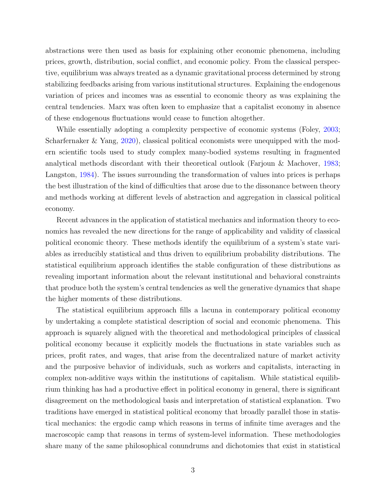abstractions were then used as basis for explaining other economic phenomena, including prices, growth, distribution, social conflict, and economic policy. From the classical perspective, equilibrium was always treated as a dynamic gravitational process determined by strong stabilizing feedbacks arising from various institutional structures. Explaining the endogenous variation of prices and incomes was as essential to economic theory as was explaining the central tendencies. Marx was often keen to emphasize that a capitalist economy in absence of these endogenous fluctuations would cease to function altogether.

While essentially adopting a complexity perspective of economic systems (Foley, [2003;](#page-42-0) Scharfernaker & Yang, [2020\)](#page-44-0), classical political economists were unequipped with the modern scientific tools used to study complex many-bodied systems resulting in fragmented analytical methods discordant with their theoretical outlook (Farjoun & Machover, [1983;](#page-41-0) Langston, [1984\)](#page-43-0). The issues surrounding the transformation of values into prices is perhaps the best illustration of the kind of difficulties that arose due to the dissonance between theory and methods working at different levels of abstraction and aggregation in classical political economy.

Recent advances in the application of statistical mechanics and information theory to economics has revealed the new directions for the range of applicability and validity of classical political economic theory. These methods identify the equilibrium of a system's state variables as irreducibly statistical and thus driven to equilibrium probability distributions. The statistical equilibrium approach identifies the stable configuration of these distributions as revealing important information about the relevant institutional and behavioral constraints that produce both the system's central tendencies as well the generative dynamics that shape the higher moments of these distributions.

The statistical equilibrium approach fills a lacuna in contemporary political economy by undertaking a complete statistical description of social and economic phenomena. This approach is squarely aligned with the theoretical and methodological principles of classical political economy because it explicitly models the fluctuations in state variables such as prices, profit rates, and wages, that arise from the decentralized nature of market activity and the purposive behavior of individuals, such as workers and capitalists, interacting in complex non-additive ways within the institutions of capitalism. While statistical equilibrium thinking has had a productive effect in political economy in general, there is significant disagreement on the methodological basis and interpretation of statistical explanation. Two traditions have emerged in statistical political economy that broadly parallel those in statistical mechanics: the ergodic camp which reasons in terms of infinite time averages and the macroscopic camp that reasons in terms of system-level information. These methodologies share many of the same philosophical conundrums and dichotomies that exist in statistical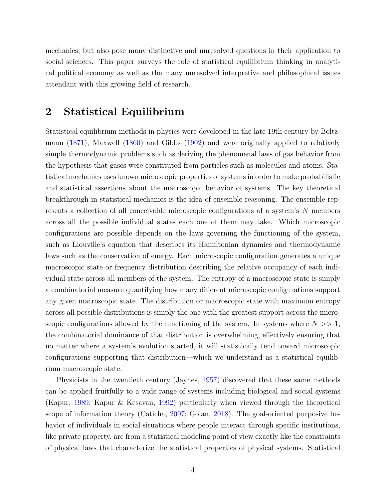mechanics, but also pose many distinctive and unresolved questions in their application to social sciences. This paper surveys the role of statistical equilibrium thinking in analytical political economy as well as the many unresolved interpretive and philosophical issues attendant with this growing field of research.

# 2 Statistical Equilibrium

Statistical equilibrium methods in physics were developed in the late 19th century by Boltzmann [\(1871\)](#page-40-0), Maxwell [\(1860\)](#page-43-1) and Gibbs [\(1902\)](#page-42-1) and were originally applied to relatively simple thermodynamic problems such as deriving the phenomenal laws of gas behavior from the hypothesis that gases were constituted from particles such as molecules and atoms. Statistical mechanics uses known microscopic properties of systems in order to make probabilistic and statistical assertions about the macroscopic behavior of systems. The key theoretical breakthrough in statistical mechanics is the idea of ensemble reasoning. The ensemble represents a collection of all conceivable microscopic configurations of a system's *N* members across all the possible individual states each one of them may take. Which microscopic configurations are possible depends on the laws governing the functioning of the system, such as Liouville's equation that describes its Hamiltonian dynamics and thermodynamic laws such as the conservation of energy. Each microscopic configuration generates a unique macroscopic state or frequency distribution describing the relative occupancy of each individual state across all members of the system. The entropy of a macroscopic state is simply a combinatorial measure quantifying how many different microscopic configurations support any given macroscopic state. The distribution or macroscopic state with maximum entropy across all possible distributions is simply the one with the greatest support across the microscopic configurations allowed by the functioning of the system. In systems where  $N \gg 1$ , the combinatorial dominance of that distribution is overwhelming, effectively ensuring that no matter where a system's evolution started, it will statistically tend toward microscopic configurations supporting that distribution—which we understand as a statistical equilibrium macroscopic state.

<span id="page-4-0"></span>Physicists in the twentieth century (Jaynes, [1957\)](#page-42-2) discovered that these same methods can be applied fruitfully to a wide range of systems including biological and social systems (Kapur, [1989;](#page-43-2) Kapur & Kesavan, [1992\)](#page-43-3) particularly when viewed through the theoretical scope of information theory (Caticha, [2007;](#page-40-1) Golan, [2018\)](#page-42-3). The goal-oriented purposive behavior of individuals in social situations where people interact through specific institutions, like private property, are from a statistical modeling point of view exactly like the constraints of physical laws that characterize the statistical properties of physical systems. Statistical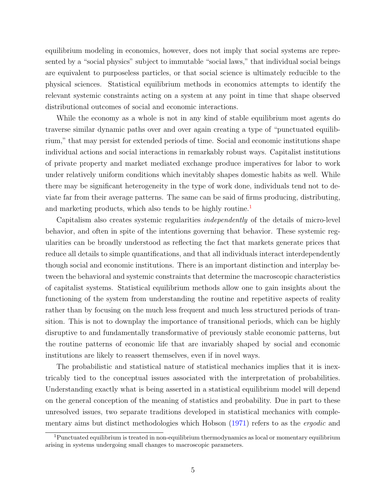equilibrium modeling in economics, however, does not imply that social systems are represented by a "social physics" subject to immutable "social laws," that individual social beings are equivalent to purposeless particles, or that social science is ultimately reducible to the physical sciences. Statistical equilibrium methods in economics attempts to identify the relevant systemic constraints acting on a system at any point in time that shape observed distributional outcomes of social and economic interactions.

While the economy as a whole is not in any kind of stable equilibrium most agents do traverse similar dynamic paths over and over again creating a type of "punctuated equilibrium," that may persist for extended periods of time. Social and economic institutions shape individual actions and social interactions in remarkably robust ways. Capitalist institutions of private property and market mediated exchange produce imperatives for labor to work under relatively uniform conditions which inevitably shapes domestic habits as well. While there may be significant heterogeneity in the type of work done, individuals tend not to deviate far from their average patterns. The same can be said of firms producing, distributing, and marketing products, which also tends to be highly routine.<sup>[1](#page-4-0)</sup>

Capitalism also creates systemic regularities *independently* of the details of micro-level behavior, and often in spite of the intentions governing that behavior. These systemic regularities can be broadly understood as reflecting the fact that markets generate prices that reduce all details to simple quantifications, and that all individuals interact interdependently though social and economic institutions. There is an important distinction and interplay between the behavioral and systemic constraints that determine the macroscopic characteristics of capitalist systems. Statistical equilibrium methods allow one to gain insights about the functioning of the system from understanding the routine and repetitive aspects of reality rather than by focusing on the much less frequent and much less structured periods of transition. This is not to downplay the importance of transitional periods, which can be highly disruptive to and fundamentally transformative of previously stable economic patterns, but the routine patterns of economic life that are invariably shaped by social and economic institutions are likely to reassert themselves, even if in novel ways.

The probabilistic and statistical nature of statistical mechanics implies that it is inextricably tied to the conceptual issues associated with the interpretation of probabilities. Understanding exactly what is being asserted in a statistical equilibrium model will depend on the general conception of the meaning of statistics and probability. Due in part to these unresolved issues, two separate traditions developed in statistical mechanics with complementary aims but distinct methodologies which Hobson [\(1971\)](#page-42-4) refers to as the *ergodic* and

<span id="page-5-0"></span><sup>&</sup>lt;sup>1</sup>Punctuated equilibrium is treated in non-equilibrium thermodynamics as local or momentary equilibrium arising in systems undergoing small changes to macroscopic parameters.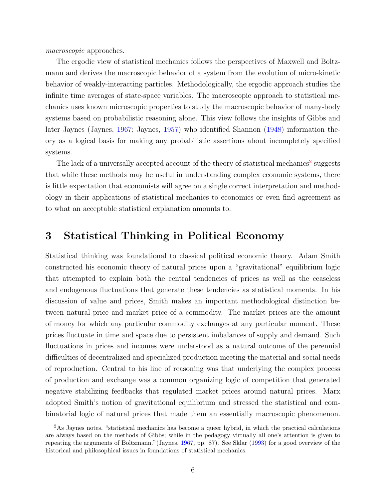*macroscopic* approaches.

The ergodic view of statistical mechanics follows the perspectives of Maxwell and Boltzmann and derives the macroscopic behavior of a system from the evolution of micro-kinetic behavior of weakly-interacting particles. Methodologically, the ergodic approach studies the infinite time averages of state-space variables. The macroscopic approach to statistical mechanics uses known microscopic properties to study the macroscopic behavior of many-body systems based on probabilistic reasoning alone. This view follows the insights of Gibbs and later Jaynes (Jaynes, [1967;](#page-42-5) Jaynes, [1957\)](#page-42-2) who identified Shannon [\(1948\)](#page-45-0) information theory as a logical basis for making any probabilistic assertions about incompletely specified systems.

The lack of a universally accepted account of the theory of statistical mechanics<sup>[2](#page-5-0)</sup> suggests that while these methods may be useful in understanding complex economic systems, there is little expectation that economists will agree on a single correct interpretation and methodology in their applications of statistical mechanics to economics or even find agreement as to what an acceptable statistical explanation amounts to.

### 3 Statistical Thinking in Political Economy

Statistical thinking was foundational to classical political economic theory. Adam Smith constructed his economic theory of natural prices upon a "gravitational" equilibrium logic that attempted to explain both the central tendencies of prices as well as the ceaseless and endogenous fluctuations that generate these tendencies as statistical moments. In his discussion of value and prices, Smith makes an important methodological distinction between natural price and market price of a commodity. The market prices are the amount of money for which any particular commodity exchanges at any particular moment. These prices fluctuate in time and space due to persistent imbalances of supply and demand. Such fluctuations in prices and incomes were understood as a natural outcome of the perennial difficulties of decentralized and specialized production meeting the material and social needs of reproduction. Central to his line of reasoning was that underlying the complex process of production and exchange was a common organizing logic of competition that generated negative stabilizing feedbacks that regulated market prices around natural prices. Marx adopted Smith's notion of gravitational equilibrium and stressed the statistical and combinatorial logic of natural prices that made them an essentially macroscopic phenomenon.

<sup>&</sup>lt;sup>2</sup>As Jaynes notes, "statistical mechanics has become a queer hybrid, in which the practical calculations are always based on the methods of Gibbs; while in the pedagogy virtually all one's attention is given to repeating the arguments of Boltzmann."(Jaynes, [1967,](#page-42-5) pp. 87). See Sklar [\(1993\)](#page-45-1) for a good overview of the historical and philosophical issues in foundations of statistical mechanics.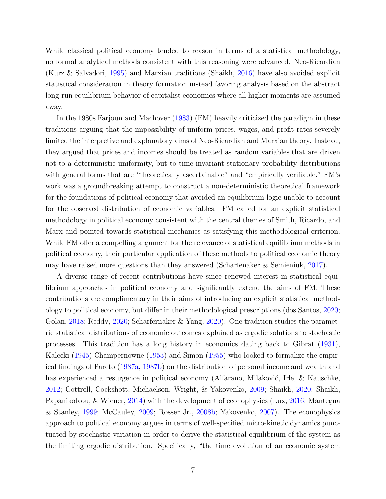While classical political economy tended to reason in terms of a statistical methodology, no formal analytical methods consistent with this reasoning were advanced. Neo-Ricardian (Kurz & Salvadori, [1995\)](#page-43-4) and Marxian traditions (Shaikh, [2016\)](#page-45-2) have also avoided explicit statistical consideration in theory formation instead favoring analysis based on the abstract long-run equilibrium behavior of capitalist economies where all higher moments are assumed away.

In the 1980s Farjoun and Machover [\(1983\)](#page-41-0) (FM) heavily criticized the paradigm in these traditions arguing that the impossibility of uniform prices, wages, and profit rates severely limited the interpretive and explanatory aims of Neo-Ricardian and Marxian theory. Instead, they argued that prices and incomes should be treated as random variables that are driven not to a deterministic uniformity, but to time-invariant stationary probability distributions with general forms that are "theoretically ascertainable" and "empirically verifiable." FM's work was a groundbreaking attempt to construct a non-deterministic theoretical framework for the foundations of political economy that avoided an equilibrium logic unable to account for the observed distribution of economic variables. FM called for an explicit statistical methodology in political economy consistent with the central themes of Smith, Ricardo, and Marx and pointed towards statistical mechanics as satisfying this methodological criterion. While FM offer a compelling argument for the relevance of statistical equilibrium methods in political economy, their particular application of these methods to political economic theory may have raised more questions than they answered (Scharfenaker & Semieniuk, [2017\)](#page-44-1).

A diverse range of recent contributions have since renewed interest in statistical equilibrium approaches in political economy and significantly extend the aims of FM. These contributions are complimentary in their aims of introducing an explicit statistical method-ology to political economy, but differ in their methodological prescriptions (dos Santos, [2020;](#page-41-1) Golan, [2018;](#page-42-3) Reddy, [2020;](#page-44-2) Scharfernaker & Yang, [2020\)](#page-44-0). One tradition studies the parametric statistical distributions of economic outcomes explained as ergodic solutions to stochastic processes. This tradition has a long history in economics dating back to Gibrat [\(1931\)](#page-42-6), Kalecki [\(1945\)](#page-43-5) Champernowne [\(1953\)](#page-41-2) and Simon [\(1955\)](#page-45-3) who looked to formalize the empirical findings of Pareto [\(1987a,](#page-44-3) [1987b\)](#page-44-4) on the distribution of personal income and wealth and has experienced a resurgence in political economy (Alfarano, Milaković, Irle, & Kauschke, [2012;](#page-40-2) Cottrell, Cockshott, Michaelson, Wright, & Yakovenko, [2009;](#page-41-3) Shaikh, [2020;](#page-45-4) Shaikh, Papanikolaou, & Wiener, [2014\)](#page-45-5) with the development of econophysics (Lux, [2016;](#page-43-6) Mantegna & Stanley, [1999;](#page-43-7) McCauley, [2009;](#page-43-8) Rosser Jr., [2008b;](#page-44-5) Yakovenko, [2007\)](#page-46-0). The econophysics approach to political economy argues in terms of well-specified micro-kinetic dynamics punctuated by stochastic variation in order to derive the statistical equilibrium of the system as the limiting ergodic distribution. Specifically, "the time evolution of an economic system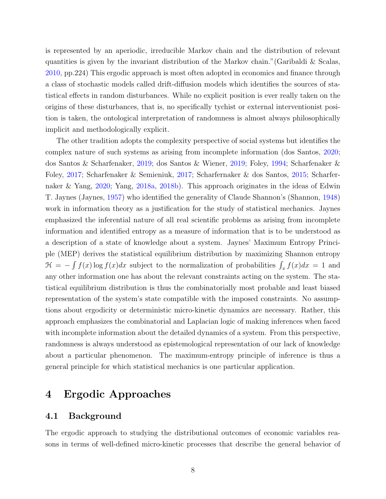is represented by an aperiodic, irreducible Markov chain and the distribution of relevant quantities is given by the invariant distribution of the Markov chain."(Garibaldi & Scalas, [2010,](#page-42-7) pp.224) This ergodic approach is most often adopted in economics and finance through a class of stochastic models called drift-diffusion models which identifies the sources of statistical effects in random disturbances. While no explicit position is ever really taken on the origins of these disturbances, that is, no specifically tychist or external interventionist position is taken, the ontological interpretation of randomness is almost always philosophically implicit and methodologically explicit.

The other tradition adopts the complexity perspective of social systems but identifies the complex nature of such systems as arising from incomplete information (dos Santos, [2020;](#page-41-1) dos Santos & Scharfenaker, [2019;](#page-41-4) dos Santos & Wiener, [2019;](#page-41-5) Foley, [1994;](#page-41-6) Scharfenaker & Foley, [2017;](#page-44-6) Scharfenaker & Semieniuk, [2017;](#page-44-1) Scharfernaker & dos Santos, [2015;](#page-44-7) Scharfernaker & Yang, [2020;](#page-44-0) Yang, [2018a,](#page-46-1) [2018b\)](#page-46-2). This approach originates in the ideas of Edwin T. Jaynes (Jaynes, [1957\)](#page-42-2) who identified the generality of Claude Shannon's (Shannon, [1948\)](#page-45-0) work in information theory as a justification for the study of statistical mechanics. Jaynes emphasized the inferential nature of all real scientific problems as arising from incomplete information and identified entropy as a measure of information that is to be understood as a description of a state of knowledge about a system. Jaynes' Maximum Entropy Principle (MEP) derives the statistical equilibrium distribution by maximizing Shannon entropy  $\mathcal{H} = -\int f(x) \log f(x) dx$  subject to the normalization of probabilities  $\int_x f(x) dx = 1$  and any other information one has about the relevant constraints acting on the system. The statistical equilibrium distribution is thus the combinatorially most probable and least biased representation of the system's state compatible with the imposed constraints. No assumptions about ergodicity or deterministic micro-kinetic dynamics are necessary. Rather, this approach emphasizes the combinatorial and Laplacian logic of making inferences when faced with incomplete information about the detailed dynamics of a system. From this perspective, randomness is always understood as epistemological representation of our lack of knowledge about a particular phenomenon. The maximum-entropy principle of inference is thus a general principle for which statistical mechanics is one particular application.

### 4 Ergodic Approaches

### 4.1 Background

<span id="page-8-0"></span>The ergodic approach to studying the distributional outcomes of economic variables reasons in terms of well-defined micro-kinetic processes that describe the general behavior of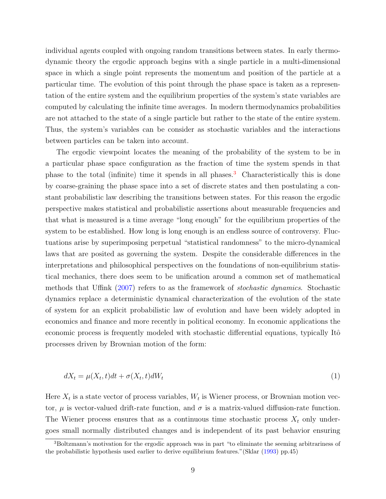individual agents coupled with ongoing random transitions between states. In early thermodynamic theory the ergodic approach begins with a single particle in a multi-dimensional space in which a single point represents the momentum and position of the particle at a particular time. The evolution of this point through the phase space is taken as a representation of the entire system and the equilibrium properties of the system's state variables are computed by calculating the infinite time averages. In modern thermodynamics probabilities are not attached to the state of a single particle but rather to the state of the entire system. Thus, the system's variables can be consider as stochastic variables and the interactions between particles can be taken into account.

The ergodic viewpoint locates the meaning of the probability of the system to be in a particular phase space configuration as the fraction of time the system spends in that phase to the total (infinite) time it spends in all phases.<sup>[3](#page-8-0)</sup> Characteristically this is done by coarse-graining the phase space into a set of discrete states and then postulating a constant probabilistic law describing the transitions between states. For this reason the ergodic perspective makes statistical and probabilistic assertions about measurable frequencies and that what is measured is a time average "long enough" for the equilibrium properties of the system to be established. How long is long enough is an endless source of controversy. Fluctuations arise by superimposing perpetual "statistical randomness" to the micro-dynamical laws that are posited as governing the system. Despite the considerable differences in the interpretations and philosophical perspectives on the foundations of non-equilibrium statistical mechanics, there does seem to be unification around a common set of mathematical methods that Uffink [\(2007\)](#page-45-6) refers to as the framework of *stochastic dynamics*. Stochastic dynamics replace a deterministic dynamical characterization of the evolution of the state of system for an explicit probabilistic law of evolution and have been widely adopted in economics and finance and more recently in political economy. In economic applications the economic process is frequently modeled with stochastic differential equations, typically Itô processes driven by Brownian motion of the form:

$$
dX_t = \mu(X_t, t)dt + \sigma(X_t, t)dW_t
$$
\n<sup>(1)</sup>

Here  $X_t$  is a state vector of process variables,  $W_t$  is Wiener process, or Brownian motion vector,  $\mu$  is vector-valued drift-rate function, and  $\sigma$  is a matrix-valued diffusion-rate function. The Wiener process ensures that as a continuous time stochastic process  $X_t$  only undergoes small normally distributed changes and is independent of its past behavior ensuring

<span id="page-9-0"></span><sup>&</sup>lt;sup>3</sup>Boltzmann's motivation for the ergodic approach was in part "to eliminate the seeming arbitrariness of the probabilistic hypothesis used earlier to derive equilibrium features."(Sklar [\(1993\)](#page-45-1) pp.45)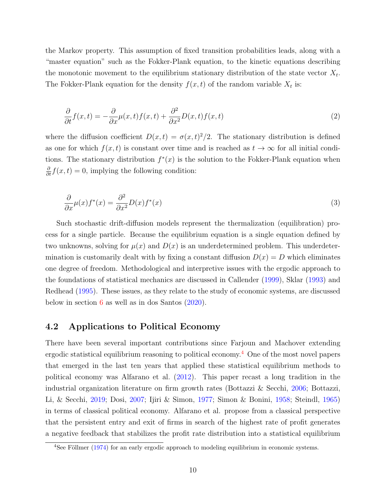the Markov property. This assumption of fixed transition probabilities leads, along with a "master equation" such as the Fokker-Plank equation, to the kinetic equations describing the monotonic movement to the equilibrium stationary distribution of the state vector  $X_t$ . The Fokker-Plank equation for the density  $f(x, t)$  of the random variable  $X_t$  is:

$$
\frac{\partial}{\partial t}f(x,t) = -\frac{\partial}{\partial x}\mu(x,t)f(x,t) + \frac{\partial^2}{\partial x^2}D(x,t)f(x,t)
$$
\n(2)

where the diffusion coefficient  $D(x,t) = \sigma(x,t)^2/2$ . The stationary distribution is defined as one for which  $f(x, t)$  is constant over time and is reached as  $t \to \infty$  for all initial conditions. The stationary distribution  $f^*(x)$  is the solution to the Fokker-Plank equation when  $\frac{\partial}{\partial t} f(x, t) = 0$ , implying the following condition:

$$
\frac{\partial}{\partial x}\mu(x)f^*(x) = \frac{\partial^2}{\partial x^2}D(x)f^*(x)
$$
\n(3)

Such stochastic drift-diffusion models represent the thermalization (equilibration) process for a single particle. Because the equilibrium equation is a single equation defined by two unknowns, solving for  $\mu(x)$  and  $D(x)$  is an underdetermined problem. This underdetermination is customarily dealt with by fixing a constant diffusion  $D(x) = D$  which eliminates one degree of freedom. Methodological and interpretive issues with the ergodic approach to the foundations of statistical mechanics are discussed in Callender [\(1999\)](#page-40-3), Sklar [\(1993\)](#page-45-1) and Redhead [\(1995\)](#page-44-8). These issues, as they relate to the study of economic systems, are discussed below in section [6](#page-34-0) as well as in dos Santos [\(2020\)](#page-41-1).

#### 4.2 Applications to Political Economy

<span id="page-10-0"></span>There have been several important contributions since Farjoun and Machover extending ergodic statistical equilibrium reasoning to political economy.[4](#page-9-0) One of the most novel papers that emerged in the last ten years that applied these statistical equilibrium methods to political economy was Alfarano et al. [\(2012\)](#page-40-2). This paper recast a long tradition in the industrial organization literature on firm growth rates (Bottazzi & Secchi, [2006;](#page-40-4) Bottazzi, Li, & Secchi, [2019;](#page-40-5) Dosi, [2007;](#page-41-7) Ijiri & Simon, [1977;](#page-42-8) Simon & Bonini, [1958;](#page-45-7) Steindl, [1965\)](#page-45-8) in terms of classical political economy. Alfarano et al. propose from a classical perspective that the persistent entry and exit of firms in search of the highest rate of profit generates a negative feedback that stabilizes the profit rate distribution into a statistical equilibrium

 $4$ See Föllmer [\(1974\)](#page-42-9) for an early ergodic approach to modeling equilibrium in economic systems.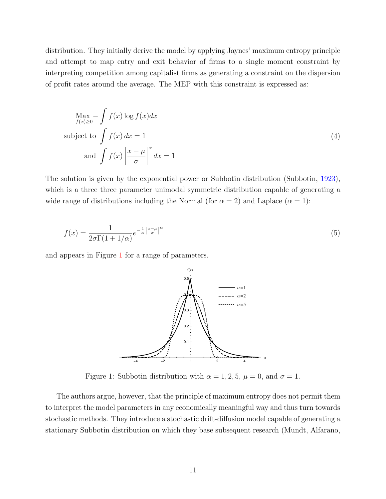distribution. They initially derive the model by applying Jaynes' maximum entropy principle and attempt to map entry and exit behavior of firms to a single moment constraint by interpreting competition among capitalist firms as generating a constraint on the dispersion of profit rates around the average. The MEP with this constraint is expressed as:

$$
\begin{aligned}\n\text{Max}_{f(x)\geq 0} - \int f(x) \log f(x) dx \\
\text{subject to } \int f(x) dx &= 1 \\
\text{and } \int f(x) \left| \frac{x - \mu}{\sigma} \right|^\alpha dx &= 1\n\end{aligned} \tag{4}
$$

The solution is given by the exponential power or Subbotin distribution (Subbotin, [1923\)](#page-45-9), which is a three three parameter unimodal symmetric distribution capable of generating a wide range of distributions including the Normal (for  $\alpha = 2$ ) and Laplace  $(\alpha = 1)$ :

$$
f(x) = \frac{1}{2\sigma \Gamma(1 + 1/\alpha)} e^{-\frac{1}{\alpha} \left|\frac{x-\mu}{\sigma}\right|^{\alpha}}
$$
(5)

and appears in Figure [1](#page-10-0) for a range of parameters.



Figure 1: Subbotin distribution with  $\alpha = 1, 2, 5, \mu = 0$ , and  $\sigma = 1$ .

The authors argue, however, that the principle of maximum entropy does not permit them to interpret the model parameters in any economically meaningful way and thus turn towards stochastic methods. They introduce a stochastic drift-diffusion model capable of generating a stationary Subbotin distribution on which they base subsequent research (Mundt, Alfarano,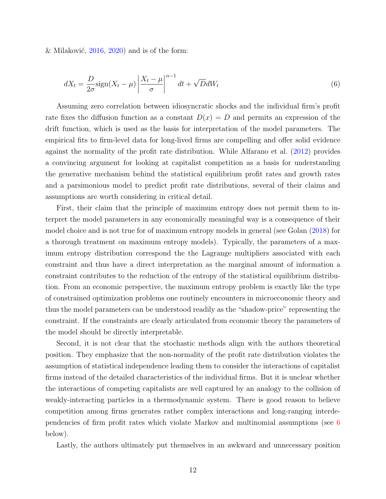& Milaković,  $2016$ ,  $2020$ ) and is of the form:

$$
dX_t = \frac{D}{2\sigma} \text{sign}(X_t - \mu) \left| \frac{X_t - \mu}{\sigma} \right|^{\alpha - 1} dt + \sqrt{D} dW_t \tag{6}
$$

Assuming zero correlation between idiosyncratic shocks and the individual firm's profit rate fixes the diffusion function as a constant  $D(x) = D$  and permits an expression of the drift function, which is used as the basis for interpretation of the model parameters. The empirical fits to firm-level data for long-lived firms are compelling and offer solid evidence against the normality of the profit rate distribution. While Alfarano et al. [\(2012\)](#page-40-2) provides a convincing argument for looking at capitalist competition as a basis for understanding the generative mechanism behind the statistical equilibrium profit rates and growth rates and a parsimonious model to predict profit rate distributions, several of their claims and assumptions are worth considering in critical detail.

First, their claim that the principle of maximum entropy does not permit them to interpret the model parameters in any economically meaningful way is a consequence of their model choice and is not true for of maximum entropy models in general (see Golan [\(2018\)](#page-42-3) for a thorough treatment on maximum entropy models). Typically, the parameters of a maximum entropy distribution correspond the the Lagrange multipliers associated with each constraint and thus have a direct interpretation as the marginal amount of information a constraint contributes to the reduction of the entropy of the statistical equilibrium distribution. From an economic perspective, the maximum entropy problem is exactly like the type of constrained optimization problems one routinely encounters in microeconomic theory and thus the model parameters can be understood readily as the "shadow-price" representing the constraint. If the constraints are clearly articulated from economic theory the parameters of the model should be directly interpretable.

<span id="page-12-0"></span>Second, it is not clear that the stochastic methods align with the authors theoretical position. They emphasize that the non-normality of the profit rate distribution violates the assumption of statistical independence leading them to consider the interactions of capitalist firms instead of the detailed characteristics of the individual firms. But it is unclear whether the interactions of competing capitalists are well captured by an analogy to the collision of weakly-interacting particles in a thermodynamic system. There is good reason to believe competition among firms generates rather complex interactions and long-ranging interdependencies of firm profit rates which violate Markov and multinomial assumptions (see [6](#page-34-0) below).

Lastly, the authors ultimately put themselves in an awkward and unnecessary position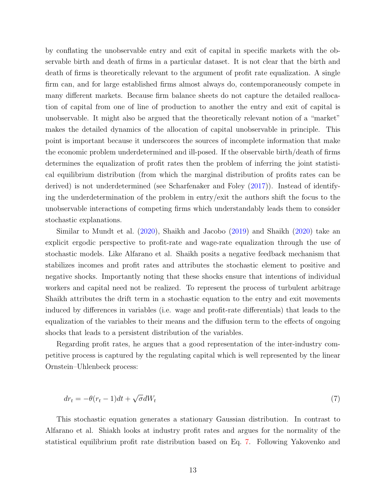by conflating the unobservable entry and exit of capital in specific markets with the observable birth and death of firms in a particular dataset. It is not clear that the birth and death of firms is theoretically relevant to the argument of profit rate equalization. A single firm can, and for large established firms almost always do, contemporaneously compete in many different markets. Because firm balance sheets do not capture the detailed reallocation of capital from one of line of production to another the entry and exit of capital is unobservable. It might also be argued that the theoretically relevant notion of a "market" makes the detailed dynamics of the allocation of capital unobservable in principle. This point is important because it underscores the sources of incomplete information that make the economic problem underdetermined and ill-posed. If the observable birth/death of firms determines the equalization of profit rates then the problem of inferring the joint statistical equilibrium distribution (from which the marginal distribution of profits rates can be derived) is not underdetermined (see Scharfenaker and Foley [\(2017\)](#page-44-6)). Instead of identifying the underdetermination of the problem in entry/exit the authors shift the focus to the unobservable interactions of competing firms which understandably leads them to consider stochastic explanations.

Similar to Mundt et al. [\(2020\)](#page-43-10), Shaikh and Jacobo [\(2019\)](#page-45-10) and Shaikh [\(2020\)](#page-45-4) take an explicit ergodic perspective to profit-rate and wage-rate equalization through the use of stochastic models. Like Alfarano et al. Shaikh posits a negative feedback mechanism that stabilizes incomes and profit rates and attributes the stochastic element to positive and negative shocks. Importantly noting that these shocks ensure that intentions of individual workers and capital need not be realized. To represent the process of turbulent arbitrage Shaikh attributes the drift term in a stochastic equation to the entry and exit movements induced by differences in variables (i.e. wage and profit-rate differentials) that leads to the equalization of the variables to their means and the diffusion term to the effects of ongoing shocks that leads to a persistent distribution of the variables.

Regarding profit rates, he argues that a good representation of the inter-industry competitive process is captured by the regulating capital which is well represented by the linear Ornstein–Uhlenbeck process:

$$
dr_t = -\theta(r_t - 1)dt + \sqrt{\sigma}dW_t
$$
\n(7)

This stochastic equation generates a stationary Gaussian distribution. In contrast to Alfarano et al. Shiakh looks at industry profit rates and argues for the normality of the statistical equilibrium profit rate distribution based on Eq. [7.](#page-12-0) Following Yakovenko and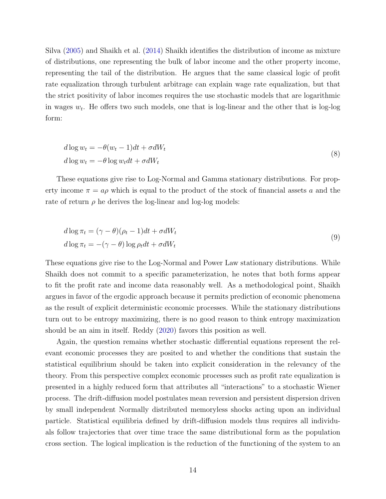Silva [\(2005\)](#page-46-3) and Shaikh et al. [\(2014\)](#page-45-5) Shaikh identifies the distribution of income as mixture of distributions, one representing the bulk of labor income and the other property income, representing the tail of the distribution. He argues that the same classical logic of profit rate equalization through turbulent arbitrage can explain wage rate equalization, but that the strict positivity of labor incomes requires the use stochastic models that are logarithmic in wages  $w_t$ . He offers two such models, one that is log-linear and the other that is log-log form:

$$
d \log w_t = -\theta (w_t - 1)dt + \sigma dW_t
$$
  
\n
$$
d \log w_t = -\theta \log w_t dt + \sigma dW_t
$$
\n(8)

These equations give rise to Log-Normal and Gamma stationary distributions. For property income  $\pi = a\rho$  which is equal to the product of the stock of financial assets a and the rate of return  $\rho$  he derives the log-linear and log-log models:

$$
d \log \pi_t = (\gamma - \theta)(\rho_t - 1)dt + \sigma dW_t
$$
  

$$
d \log \pi_t = -(\gamma - \theta) \log \rho_t dt + \sigma dW_t
$$
 (9)

These equations give rise to the Log-Normal and Power Law stationary distributions. While Shaikh does not commit to a specific parameterization, he notes that both forms appear to fit the profit rate and income data reasonably well. As a methodological point, Shaikh argues in favor of the ergodic approach because it permits prediction of economic phenomena as the result of explicit deterministic economic processes. While the stationary distributions turn out to be entropy maximizing, there is no good reason to think entropy maximization should be an aim in itself. Reddy [\(2020\)](#page-44-2) favors this position as well.

<span id="page-14-0"></span>Again, the question remains whether stochastic differential equations represent the relevant economic processes they are posited to and whether the conditions that sustain the statistical equilibrium should be taken into explicit consideration in the relevancy of the theory. From this perspective complex economic processes such as profit rate equalization is presented in a highly reduced form that attributes all "interactions" to a stochastic Wiener process. The drift-diffusion model postulates mean reversion and persistent dispersion driven by small independent Normally distributed memoryless shocks acting upon an individual particle. Statistical equilibria defined by drift-diffusion models thus requires all individuals follow trajectories that over time trace the same distributional form as the population cross section. The logical implication is the reduction of the functioning of the system to an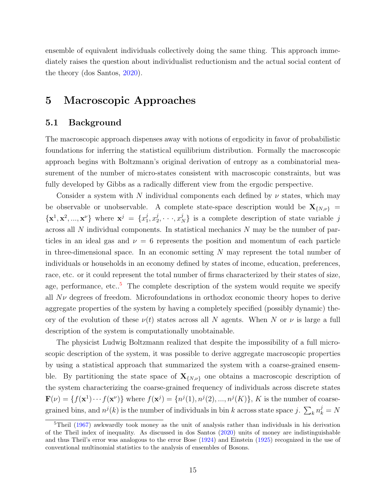ensemble of equivalent individuals collectively doing the same thing. This approach immediately raises the question about individualist reductionism and the actual social content of the theory (dos Santos, [2020\)](#page-41-1).

### 5 Macroscopic Approaches

### 5.1 Background

The macroscopic approach dispenses away with notions of ergodicity in favor of probabilistic foundations for inferring the statistical equilibrium distribution. Formally the macroscopic approach begins with Boltzmann's original derivation of entropy as a combinatorial measurement of the number of micro-states consistent with macroscopic constraints, but was fully developed by Gibbs as a radically different view from the ergodic perspective.

Consider a system with N individual components each defined by  $\nu$  states, which may be observable or unobservable. A complete state-space description would be  $X_{\{N,\nu\}}$  =  $\{x^1, x^2, ..., x^\nu\}$  where  $x^j = \{x_1^j, x_2^j, \dots, x_N^j\}$  is a complete description of state variable *j* across all *N* individual components. In statistical mechanics *N* may be the number of particles in an ideal gas and  $\nu = 6$  represents the position and momentum of each particle in three-dimensional space. In an economic setting *N* may represent the total number of individuals or households in an economy defined by states of income, education, preferences, race, etc. or it could represent the total number of firms characterized by their states of size, age, performance, etc..<sup>[5](#page-14-0)</sup> The complete description of the system would requite we specify all  $N\nu$  degrees of freedom. Microfoundations in orthodox economic theory hopes to derive aggregate properties of the system by having a completely specified (possibly dynamic) theory of the evolution of these  $\nu(t)$  states across all N agents. When N or  $\nu$  is large a full description of the system is computationally unobtainable.

The physicist Ludwig Boltzmann realized that despite the impossibility of a full microscopic description of the system, it was possible to derive aggregate macroscopic properties by using a statistical approach that summarized the system with a coarse-grained ensemble. By partitioning the state space of  $X_{\{N,\nu\}}$  one obtains a macroscopic description of the system characterizing the coarse-grained frequency of individuals across discrete states  $\mathbf{F}(\nu) = \{f(\mathbf{x}^1)\cdots f(\mathbf{x}^{\nu})\}$  where  $f(\mathbf{x}^j) = \{n^j(1), n^j(2), \ldots, n^j(K)\}$ , *K* is the number of coarsegrained bins, and  $n^j(k)$  is the number of individuals in bin *k* across state space  $j$ .  $\sum_k n^j_k = N$ 

<sup>&</sup>lt;sup>5</sup>Theil [\(1967\)](#page-45-11) awkwardly took money as the unit of analysis rather than individuals in his derivation of the Theil index of inequality. As discussed in dos Santos [\(2020\)](#page-41-1) units of money are indistinguishable and thus Theil's error was analogous to the error Bose [\(1924\)](#page-40-6) and Einstein [\(1925\)](#page-41-8) recognized in the use of conventional multinomial statistics to the analysis of ensembles of Bosons.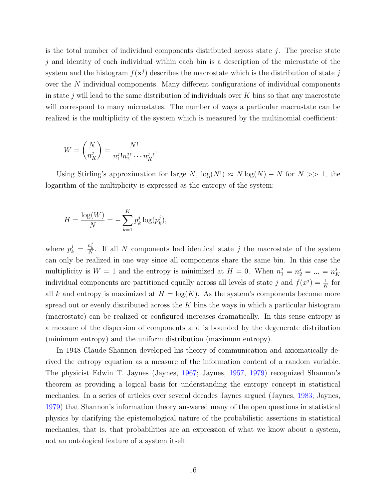is the total number of individual components distributed across state *j*. The precise state *j* and identity of each individual within each bin is a description of the microstate of the system and the histogram  $f(\mathbf{x}^j)$  describes the macrostate which is the distribution of state *j* over the N individual components. Many different configurations of individual components in state *j* will lead to the same distribution of individuals over *K* bins so that any macrostate will correspond to many microstates. The number of ways a particular macrostate can be realized is the multiplicity of the system which is measured by the multinomial coefficient:

$$
W = \begin{pmatrix} N \\ n_K^j \end{pmatrix} = \frac{N!}{n_1^j! n_2^j! \cdots n_K^j!}.
$$

Using Stirling's approximation for large *N*,  $log(N!) \approx N log(N) - N$  for  $N >> 1$ , the logarithm of the multiplicity is expressed as the entropy of the system:

$$
H = \frac{\log(W)}{N} = -\sum_{k=1}^{K} p_k^{j} \log(p_k^{j}),
$$

where  $p_k^j = \frac{n_k^j}{N}$ . If all *N* components had identical state *j* the macrostate of the system can only be realized in one way since all components share the same bin. In this case the multiplicity is  $W = 1$  and the entropy is minimized at  $H = 0$ . When  $n_1^j = n_2^j = ... = n_K^j$ individual components are partitioned equally across all levels of state *j* and  $f(x^j) = \frac{1}{K}$  for all *k* and entropy is maximized at  $H = \log(K)$ . As the system's components become more spread out or evenly distributed across the *K* bins the ways in which a particular histogram (macrostate) can be realized or configured increases dramatically. In this sense entropy is a measure of the dispersion of components and is bounded by the degenerate distribution (minimum entropy) and the uniform distribution (maximum entropy).

In 1948 Claude Shannon developed his theory of communication and axiomatically derived the entropy equation as a measure of the information content of a random variable. The physicist Edwin T. Jaynes (Jaynes, [1967;](#page-42-5) Jaynes, [1957,](#page-42-2) [1979\)](#page-43-11) recognized Shannon's theorem as providing a logical basis for understanding the entropy concept in statistical mechanics. In a series of articles over several decades Jaynes argued (Jaynes, [1983;](#page-42-10) Jaynes, [1979\)](#page-43-11) that Shannon's information theory answered many of the open questions in statistical physics by clarifying the epistemological nature of the probabilistic assertions in statistical mechanics, that is, that probabilities are an expression of what we know about a system, not an ontological feature of a system itself.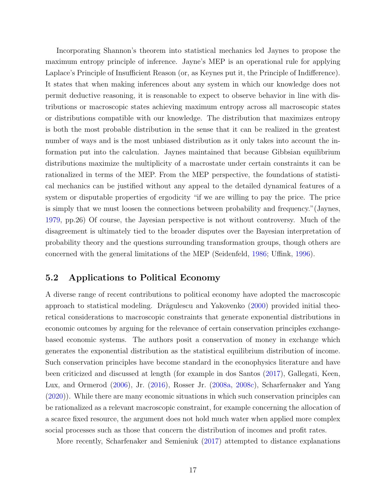Incorporating Shannon's theorem into statistical mechanics led Jaynes to propose the maximum entropy principle of inference. Jayne's MEP is an operational rule for applying Laplace's Principle of Insufficient Reason (or, as Keynes put it, the Principle of Indifference). It states that when making inferences about any system in which our knowledge does not permit deductive reasoning, it is reasonable to expect to observe behavior in line with distributions or macroscopic states achieving maximum entropy across all macroscopic states or distributions compatible with our knowledge. The distribution that maximizes entropy is both the most probable distribution in the sense that it can be realized in the greatest number of ways and is the most unbiased distribution as it only takes into account the information put into the calculation. Jaynes maintained that because Gibbsian equilibrium distributions maximize the multiplicity of a macrostate under certain constraints it can be rationalized in terms of the MEP. From the MEP perspective, the foundations of statistical mechanics can be justified without any appeal to the detailed dynamical features of a system or disputable properties of ergodicity "if we are willing to pay the price. The price is simply that we must loosen the connections between probability and frequency."(Jaynes, [1979,](#page-43-11) pp.26) Of course, the Jayesian perspective is not without controversy. Much of the disagreement is ultimately tied to the broader disputes over the Bayesian interpretation of probability theory and the questions surrounding transformation groups, though others are concerned with the general limitations of the MEP (Seidenfeld,  $1986$ ; Uffink,  $1996$ ).

### 5.2 Applications to Political Economy

A diverse range of recent contributions to political economy have adopted the macroscopic approach to statistical modeling. Drăgulescu and Yakovenko  $(2000)$  provided initial theoretical considerations to macroscopic constraints that generate exponential distributions in economic outcomes by arguing for the relevance of certain conservation principles exchangebased economic systems. The authors posit a conservation of money in exchange which generates the exponential distribution as the statistical equilibrium distribution of income. Such conservation principles have become standard in the econophysics literature and have been criticized and discussed at length (for example in dos Santos [\(2017\)](#page-41-10), Gallegati, Keen, Lux, and Ormerod [\(2006\)](#page-42-11), Jr. [\(2016\)](#page-43-12), Rosser Jr. [\(2008a,](#page-44-9) [2008c\)](#page-44-10), Scharfernaker and Yang [\(2020\)](#page-44-0)). While there are many economic situations in which such conservation principles can be rationalized as a relevant macroscopic constraint, for example concerning the allocation of a scarce fixed resource, the argument does not hold much water when applied more complex social processes such as those that concern the distribution of incomes and profit rates.

More recently, Scharfenaker and Semieniuk [\(2017\)](#page-44-1) attempted to distance explanations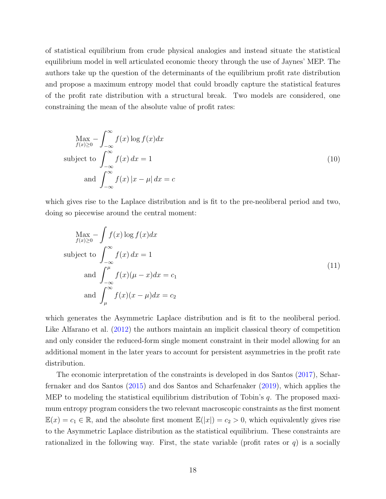of statistical equilibrium from crude physical analogies and instead situate the statistical equilibrium model in well articulated economic theory through the use of Jaynes' MEP. The authors take up the question of the determinants of the equilibrium profit rate distribution and propose a maximum entropy model that could broadly capture the statistical features of the profit rate distribution with a structural break. Two models are considered, one constraining the mean of the absolute value of profit rates:

$$
\lim_{f(x)\geq 0} -\int_{-\infty}^{\infty} f(x) \log f(x) dx
$$
\nsubject to\n
$$
\int_{-\infty}^{\infty} f(x) dx = 1
$$
\nand\n
$$
\int_{-\infty}^{\infty} f(x) |x - \mu| dx = c
$$
\n(10)

which gives rise to the Laplace distribution and is fit to the pre-neoliberal period and two, doing so piecewise around the central moment:

$$
\begin{aligned}\n\text{Max}_{f(x)\geq 0} - \int f(x) \log f(x) dx \\
\text{subject to } \int_{-\infty}^{\infty} f(x) dx = 1 \\
\text{and } \int_{-\infty}^{\mu} f(x) (\mu - x) dx = c_1 \\
\text{and } \int_{\mu}^{\infty} f(x) (x - \mu) dx = c_2\n\end{aligned} \tag{11}
$$

which generates the Asymmetric Laplace distribution and is fit to the neoliberal period. Like Alfarano et al. [\(2012\)](#page-40-2) the authors maintain an implicit classical theory of competition and only consider the reduced-form single moment constraint in their model allowing for an additional moment in the later years to account for persistent asymmetries in the profit rate distribution.

The economic interpretation of the constraints is developed in dos Santos [\(2017\)](#page-41-10), Scharfernaker and dos Santos [\(2015\)](#page-44-7) and dos Santos and Scharfenaker [\(2019\)](#page-41-4), which applies the MEP to modeling the statistical equilibrium distribution of Tobin's *q*. The proposed maximum entropy program considers the two relevant macroscopic constraints as the first moment  $E(x) = c_1 \in \mathbb{R}$ , and the absolute first moment  $E(|x|) = c_2 > 0$ , which equivalently gives rise to the Asymmetric Laplace distribution as the statistical equilibrium. These constraints are rationalized in the following way. First, the state variable (profit rates or  $q$ ) is a socially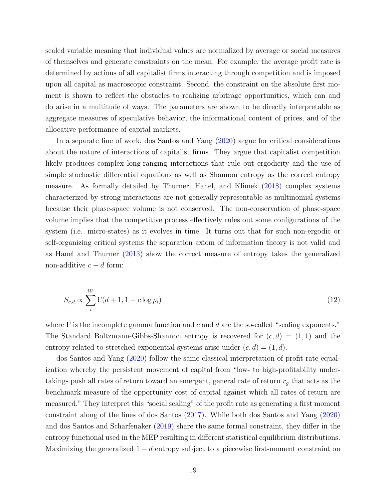scaled variable meaning that individual values are normalized by average or social measures of themselves and generate constraints on the mean. For example, the average profit rate is determined by actions of all capitalist firms interacting through competition and is imposed upon all capital as macroscopic constraint. Second, the constraint on the absolute first moment is shown to reflect the obstacles to realizing arbitrage opportunities, which can and do arise in a multitude of ways. The parameters are shown to be directly interpretable as aggregate measures of speculative behavior, the informational content of prices, and of the allocative performance of capital markets.

In a separate line of work, dos Santos and Yang [\(2020\)](#page-41-11) argue for critical considerations about the nature of interactions of capitalist firms. They argue that capitalist competition likely produces complex long-ranging interactions that rule out ergodicity and the use of simple stochastic differential equations as well as Shannon entropy as the correct entropy measure. As formally detailed by Thurner, Hanel, and Klimek [\(2018\)](#page-45-14) complex systems characterized by strong interactions are not generally representable as multinomial systems because their phase-space volume is not conserved. The non-conservation of phase-space volume implies that the competitive process effectively rules out some configurations of the system (i.e. micro-states) as it evolves in time. It turns out that for such non-ergodic or self-organizing critical systems the separation axiom of information theory is not valid and as Hanel and Thurner [\(2013\)](#page-42-12) show the correct measure of entropy takes the generalized non-additive  $c - d$  form:

$$
S_{c,d} \propto \sum_{i}^{W} \Gamma(d+1, 1 - c \log p_i)
$$
\n(12)

where  $\Gamma$  is the incomplete gamma function and  $c$  and  $d$  are the so-called "scaling exponents." The Standard Boltzmann-Gibbs-Shannon entropy is recovered for  $(c, d) = (1, 1)$  and the entropy related to stretched exponential systems arise under  $(c, d) = (1, d)$ .

dos Santos and Yang [\(2020\)](#page-41-11) follow the same classical interpretation of profit rate equalization whereby the persistent movement of capital from "low- to high-profitability undertakings push all rates of return toward an emergent, general rate of return  $r_g$  that acts as the benchmark measure of the opportunity cost of capital against which all rates of return are measured." They interpret this "social scaling" of the profit rate as generating a first moment constraint along of the lines of dos Santos [\(2017\)](#page-41-10). While both dos Santos and Yang [\(2020\)](#page-41-11) and dos Santos and Scharfenaker [\(2019\)](#page-41-4) share the same formal constraint, they differ in the entropy functional used in the MEP resulting in different statistical equilibrium distributions. Maximizing the generalized  $1 - d$  entropy subject to a piecewise first-moment constraint on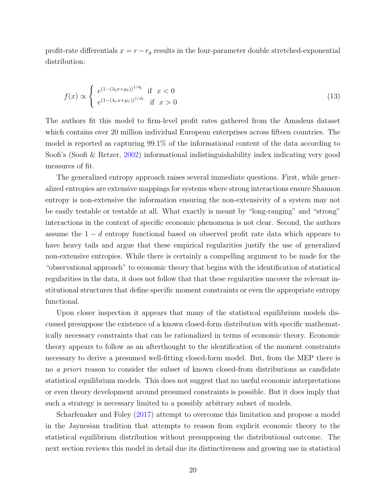profit-rate differentials  $x = r - r_g$  results in the four-parameter double stretched-exponential distribution:

$$
f(x) \propto \begin{cases} e^{(1-(\lambda_l x + \mu_l))^{1/d_l}} & \text{if } x < 0\\ e^{(1-(\lambda_r x + \mu_r))^{1/d_r}} & \text{if } x > 0 \end{cases}
$$
 (13)

The authors fit this model to firm-level profit rates gathered from the Amadeus dataset which contains over 20 million individual European enterprises across fifteen countries. The model is reported as capturing 99.1% of the informational content of the data according to Soofi's (Soofi & Retzer, [2002\)](#page-45-15) informational indistinguishability index indicating very good measures of fit.

The generalized entropy approach raises several immediate questions. First, while generalized entropies are extensive mappings for systems where strong interactions ensure Shannon entropy is non-extensive the information ensuring the non-extensivity of a system may not be easily testable or testable at all. What exactly is meant by "long-ranging" and "strong" interactions in the context of specific economic phenomena is not clear. Second, the authors assume the  $1 - d$  entropy functional based on observed profit rate data which appears to have heavy tails and argue that these empirical regularities justify the use of generalized non-extensive entropies. While there is certainly a compelling argument to be made for the "observational approach" to economic theory that begins with the identification of statistical regularities in the data, it does not follow that that these regularities uncover the relevant institutional structures that define specific moment constraints or even the appropriate entropy functional.

Upon closer inspection it appears that many of the statistical equilibrium models discussed presuppose the existence of a known closed-form distribution with specific mathematically necessary constraints that can be rationalized in terms of economic theory. Economic theory appears to follow as an afterthought to the identification of the moment constraints necessary to derive a presumed well-fitting closed-form model. But, from the MEP there is no *a priori* reason to consider the subset of known closed-from distributions as candidate statistical equilibrium models. This does not suggest that no useful economic interpretations or even theory development around presumed constraints is possible. But it does imply that such a strategy is necessary limited to a possibly arbitrary subset of models.

Scharfenaker and Foley [\(2017\)](#page-44-6) attempt to overcome this limitation and propose a model in the Jaynesian tradition that attempts to reason from explicit economic theory to the statistical equilibrium distribution without presupposing the distributional outcome. The next section reviews this model in detail due its distinctiveness and growing use in statistical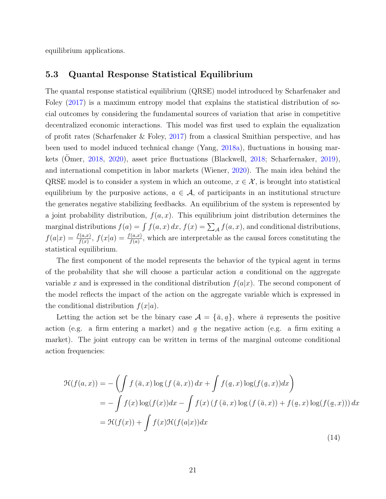equilibrium applications.

### 5.3 Quantal Response Statistical Equilibrium

<span id="page-21-0"></span>The quantal response statistical equilibrium (QRSE) model introduced by Scharfenaker and Foley  $(2017)$  is a maximum entropy model that explains the statistical distribution of social outcomes by considering the fundamental sources of variation that arise in competitive decentralized economic interactions. This model was first used to explain the equalization of profit rates (Scharfenaker & Foley, [2017\)](#page-44-6) from a classical Smithian perspective, and has been used to model induced technical change (Yang, [2018a\)](#page-46-1), fluctuations in housing mar-kets (Omer, [2018,](#page-44-11) [2020\)](#page-44-12), asset price fluctuations (Blackwell, [2018;](#page-40-7) Scharfernaker, [2019\)](#page-44-13), and international competition in labor markets (Wiener, [2020\)](#page-45-16). The main idea behind the QRSE model is to consider a system in which an outcome,  $x \in \mathcal{X}$ , is brought into statistical equilibrium by the purposive actions,  $a \in \mathcal{A}$ , of participants in an institutional structure the generates negative stabilizing feedbacks. An equilibrium of the system is represented by a joint probability distribution,  $f(a, x)$ . This equilibrium joint distribution determines the marginal distributions  $f(a) = \int f(a, x) dx$ ,  $f(x) = \sum_A f(a, x)$ , and conditional distributions,  $f(a|x) = \frac{f(a,x)}{f(x)}$ ,  $f(x|a) = \frac{f(a,x)}{f(a)}$ , which are interpretable as the causal forces constituting the statistical equilibrium.

The first component of the model represents the behavior of the typical agent in terms of the probability that she will choose a particular action *a* conditional on the aggregate variable x and is expressed in the conditional distribution  $f(a|x)$ . The second component of the model reflects the impact of the action on the aggregate variable which is expressed in the conditional distribution  $f(x|a)$ .

Letting the action set be the binary case  $\mathcal{A} = {\bar{a}, \bar{a}}$ , where  $\bar{a}$  represents the positive action (e.g. a firm entering a market) and *a* the negative action (e.g. a firm exiting a market). The joint entropy can be written in terms of the marginal outcome conditional action frequencies:

$$
\mathcal{H}(f(a,x)) = -\left(\int f(\bar{a},x)\log(f(\bar{a},x))dx + \int f(\underline{a},x)\log(f(\underline{a},x))dx\right)
$$
  
= 
$$
-\int f(x)\log(f(x))dx - \int f(x)(f(\bar{a},x)\log(f(\bar{a},x)) + f(\underline{a},x)\log(f(\underline{a},x)))dx
$$
  
= 
$$
\mathcal{H}(f(x)) + \int f(x)\mathcal{H}(f(a|x))dx
$$
 (14)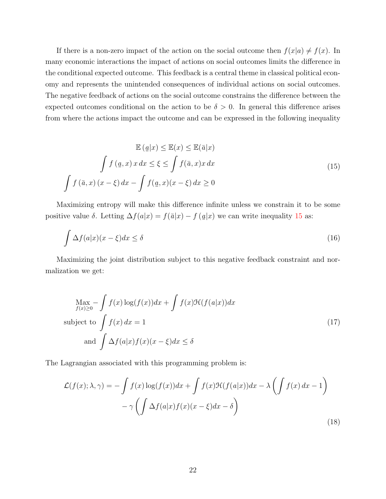<span id="page-22-1"></span>If there is a non-zero impact of the action on the social outcome then  $f(x|a) \neq f(x)$ . In many economic interactions the impact of actions on social outcomes limits the difference in the conditional expected outcome. This feedback is a central theme in classical political economy and represents the unintended consequences of individual actions on social outcomes. The negative feedback of actions on the social outcome constrains the difference between the expected outcomes conditional on the action to be  $\delta > 0$ . In general this difference arises from where the actions impact the outcome and can be expressed in the following inequality

$$
\mathbb{E}\left(\underline{a}|x\right) \leq \mathbb{E}(x) \leq \mathbb{E}(\overline{a}|x)
$$
\n
$$
\int f\left(\underline{a}, x\right) x \, dx \leq \xi \leq \int f(\overline{a}, x) x \, dx
$$
\n
$$
\int f\left(\overline{a}, x\right) \left(x - \xi\right) dx - \int f\left(\underline{a}, x\right) \left(x - \xi\right) dx \geq 0
$$
\n(15)

Maximizing entropy will make this difference infinite unless we constrain it to be some positive value  $\delta$ . Letting  $\Delta f(a|x) = f(\bar{a}|x) - f(a|x)$  we can write inequality [15](#page-21-0) as:

$$
\int \Delta f(a|x)(x-\xi)dx \le \delta \tag{16}
$$

Maximizing the joint distribution subject to this negative feedback constraint and normalization we get:

$$
\underset{f(x)\geq 0}{\text{Max}} - \int f(x) \log(f(x)) dx + \int f(x) \mathcal{H}(f(a|x)) dx
$$
\nsubject to\n
$$
\int f(x) dx = 1
$$
\nand\n
$$
\int \Delta f(a|x) f(x) (x - \xi) dx \leq \delta
$$
\n(17)

The Lagrangian associated with this programming problem is:

<span id="page-22-0"></span>
$$
\mathcal{L}(f(x); \lambda, \gamma) = -\int f(x) \log(f(x)) dx + \int f(x) \mathcal{H}(f(a|x)) dx - \lambda \left( \int f(x) dx - 1 \right) -\gamma \left( \int \Delta f(a|x) f(x) (x - \xi) dx - \delta \right)
$$
\n(18)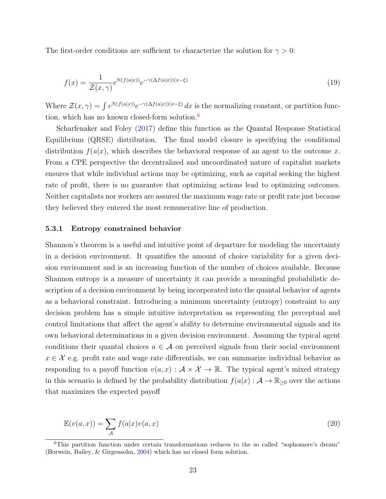The first-order conditions are sufficient to characterize the solution for  $\gamma > 0$ :

<span id="page-23-1"></span>
$$
f(x) = \frac{1}{\mathcal{Z}(x,\gamma)} e^{\mathcal{H}(f(a|x))} e^{-\gamma(\Delta f(a|x))(x-\xi)}
$$
(19)

Where  $\mathcal{Z}(x,\gamma) = \int e^{\mathcal{H}(f(a|x))} e^{-\gamma(\Delta f(a|x))(x-\xi)} dx$  is the normalizing constant, or partition function, which has no known closed-form solution.[6](#page-22-0)

Scharfenaker and Foley [\(2017\)](#page-44-6) define this function as the Quantal Response Statistical Equilibrium (QRSE) distribution. The final model closure is specifying the conditional distribution  $f(a|x)$ , which describes the behavioral response of an agent to the outcome x. From a CPE perspective the decentralized and uncoordinated nature of capitalist markets ensures that while individual actions may be optimizing, such as capital seeking the highest rate of profit, there is no guarantee that optimizing actions lead to optimizing outcomes. Neither capitalists nor workers are assured the maximum wage rate or profit rate just because they believed they entered the most remunerative line of production.

#### 5.3.1 Entropy constrained behavior

Shannon's theorem is a useful and intuitive point of departure for modeling the uncertainty in a decision environment. It quantifies the amount of choice variability for a given decision environment and is an increasing function of the number of choices available. Because Shannon entropy is a measure of uncertainty it can provide a meaningful probabilistic description of a decision environment by being incorporated into the quantal behavior of agents as a behavioral constraint. Introducing a minimum uncertainty (entropy) constraint to any decision problem has a simple intuitive interpretation as representing the perceptual and control limitations that affect the agent's ability to determine environmental signals and its own behavioral determinations in a given decision environment. Assuming the typical agent conditions their quantal choices  $a \in \mathcal{A}$  on perceived signals from their social environment  $x \in \mathcal{X}$  e.g. profit rate and wage rate differentials, we can summarize individual behavior as responding to a payoff function  $v(a, x): \mathcal{A} \times \mathcal{X} \to \mathbb{R}$ . The typical agent's mixed strategy in this scenario is defined by the probability distribution  $f(a|x) : A \to \mathbb{R}_{\geq 0}$  over the actions that maximizes the expected payoff

<span id="page-23-0"></span>
$$
\mathbb{E}(v(a,x)) = \sum_{\mathcal{A}} f(a|x)v(a,x)
$$
\n(20)

 $6$ This partition function under certain transformations reduces to the so called "sophomore's dream" (Borwein, Bailey, & Girgensohn, [2004\)](#page-40-8) which has no closed form solution.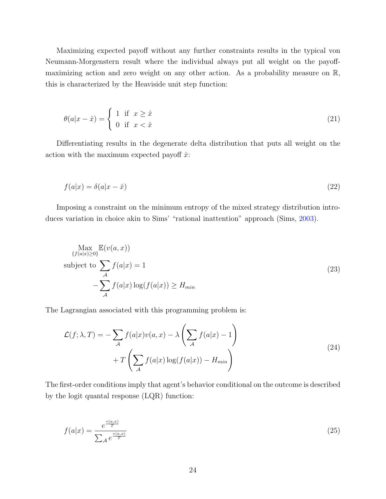Maximizing expected payoff without any further constraints results in the typical von Neumann-Morgenstern result where the individual always put all weight on the payoffmaximizing action and zero weight on any other action. As a probability measure on R, this is characterized by the Heaviside unit step function:

$$
\theta(a|x-\hat{x}) = \begin{cases} 1 & \text{if } x \ge \hat{x} \\ 0 & \text{if } x < \hat{x} \end{cases}
$$
 (21)

Differentiating results in the degenerate delta distribution that puts all weight on the action with the maximum expected payoff  $\hat{x}$ :

$$
f(a|x) = \delta(a|x - \hat{x})
$$
\n(22)

Imposing a constraint on the minimum entropy of the mixed strategy distribution introduces variation in choice akin to Sims' "rational inattention" approach (Sims, [2003\)](#page-45-17).

$$
\begin{aligned}\n\max_{\{f(a|x)\geq 0\}} \mathbb{E}(v(a,x)) \\
\text{subject to } \sum_{\mathcal{A}} f(a|x) = 1 \\
&\quad - \sum_{\mathcal{A}} f(a|x) \log(f(a|x)) \geq H_{min}\n\end{aligned} \tag{23}
$$

The Lagrangian associated with this programming problem is:

$$
\mathcal{L}(f; \lambda, T) = -\sum_{\mathcal{A}} f(a|x)v(a, x) - \lambda \left(\sum_{\mathcal{A}} f(a|x) - 1\right) + T\left(\sum_{\mathcal{A}} f(a|x) \log(f(a|x)) - H_{min}\right)
$$
\n(24)

The first-order conditions imply that agent's behavior conditional on the outcome is described by the logit quantal response (LQR) function:

$$
f(a|x) = \frac{e^{\frac{v(a,x)}{T}}}{\sum_{\mathcal{A}} e^{\frac{v(a,x)}{T}}}
$$
\n(25)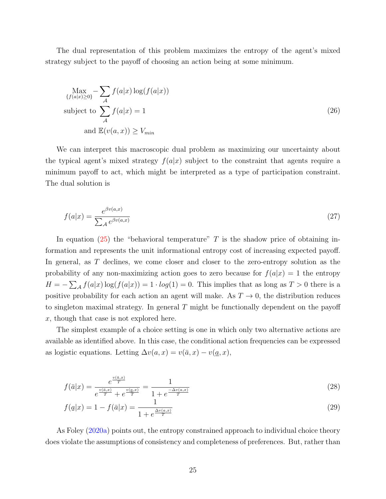The dual representation of this problem maximizes the entropy of the agent's mixed strategy subject to the payoff of choosing an action being at some minimum.

$$
\max_{\{f(a|x)\geq 0\}} -\sum_{\mathcal{A}} f(a|x) \log(f(a|x))
$$
\nsubject to 
$$
\sum_{\mathcal{A}} f(a|x) = 1
$$
\nand 
$$
\mathbb{E}(v(a, x)) \geq V_{min}
$$
\n(26)

We can interpret this macroscopic dual problem as maximizing our uncertainty about the typical agent's mixed strategy  $f(a|x)$  subject to the constraint that agents require a minimum payoff to act, which might be interpreted as a type of participation constraint. The dual solution is

$$
f(a|x) = \frac{e^{\beta v(a,x)}}{\sum_{\mathcal{A}} e^{\beta v(a,x)}}
$$
(27)

In equation  $(25)$  the "behavioral temperature" *T* is the shadow price of obtaining information and represents the unit informational entropy cost of increasing expected payoff. In general, as *T* declines, we come closer and closer to the zero-entropy solution as the probability of any non-maximizing action goes to zero because for  $f(a|x) = 1$  the entropy  $H = -\sum_{\mathcal{A}} f(a|x) \log(f(a|x)) = 1 \cdot log(1) = 0$ . This implies that as long as  $T > 0$  there is a positive probability for each action an agent will make. As  $T \to 0$ , the distribution reduces to singleton maximal strategy. In general  $T$  might be functionally dependent on the payoff *x*, though that case is not explored here.

The simplest example of a choice setting is one in which only two alternative actions are available as identified above. In this case, the conditional action frequencies can be expressed as logistic equations. Letting  $\Delta v(a, x) = v(\bar{a}, x) - v(\underline{a}, x)$ ,

$$
f(\bar{a}|x) = \frac{e^{\frac{v(\bar{a},x)}{T}}}{e^{\frac{v(\bar{a},x)}{T}} + e^{\frac{v(\underline{a},x)}{T}}} = \frac{1}{1 + e^{\frac{-\Delta v(a,x)}{T}}}
$$
(28)

$$
f(\underline{a}|x) = 1 - f(\bar{a}|x) = \frac{1}{1 + e^{\frac{\Delta v(a,x)}{T}}}
$$
\n(29)

As Foley [\(2020a\)](#page-42-13) points out, the entropy constrained approach to individual choice theory does violate the assumptions of consistency and completeness of preferences. But, rather than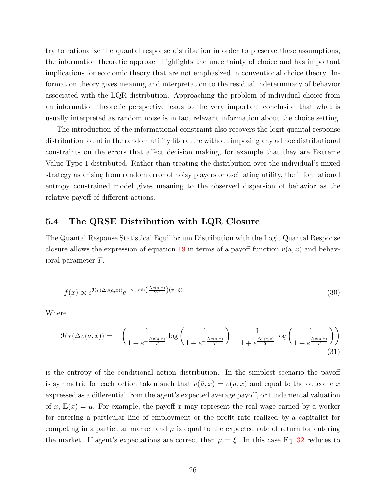<span id="page-26-0"></span>try to rationalize the quantal response distribution in order to preserve these assumptions, the information theoretic approach highlights the uncertainty of choice and has important implications for economic theory that are not emphasized in conventional choice theory. Information theory gives meaning and interpretation to the residual indeterminacy of behavior associated with the LQR distribution. Approaching the problem of individual choice from an information theoretic perspective leads to the very important conclusion that what is usually interpreted as random noise is in fact relevant information about the choice setting.

The introduction of the informational constraint also recovers the logit-quantal response distribution found in the random utility literature without imposing any ad hoc distributional constraints on the errors that affect decision making, for example that they are Extreme Value Type 1 distributed. Rather than treating the distribution over the individual's mixed strategy as arising from random error of noisy players or oscillating utility, the informational entropy constrained model gives meaning to the observed dispersion of behavior as the relative payoff of different actions.

#### 5.4 The QRSE Distribution with LQR Closure

The Quantal Response Statistical Equilibrium Distribution with the Logit Quantal Response closure allows the expression of equation [19](#page-22-1) in terms of a payoff function  $v(a, x)$  and behavioral parameter *T*.

$$
f(x) \propto e^{\mathcal{H}_T(\Delta v(a,x))} e^{-\gamma \tanh\left(\frac{\Delta v(a,x)}{2T}\right)(x-\xi)}
$$
\n(30)

Where

$$
\mathcal{H}_T(\Delta v(a,x)) = -\left(\frac{1}{1 + e^{-\frac{\Delta v(a,x)}{T}}} \log \left(\frac{1}{1 + e^{-\frac{\Delta v(a,x)}{T}}}\right) + \frac{1}{1 + e^{\frac{\Delta v(a,x)}{T}}} \log \left(\frac{1}{1 + e^{\frac{\Delta v(a,x)}{T}}}\right)\right)
$$
\n(31)

is the entropy of the conditional action distribution. In the simplest scenario the payoff is symmetric for each action taken such that  $v(\bar{a},x) = v(a,x)$  and equal to the outcome x expressed as a differential from the agent's expected average payoff, or fundamental valuation of x,  $\mathbb{E}(x) = \mu$ . For example, the payoff x may represent the real wage earned by a worker for entering a particular line of employment or the profit rate realized by a capitalist for competing in a particular market and  $\mu$  is equal to the expected rate of return for entering the market. If agent's expectations are correct then  $\mu = \xi$ . In this case Eq. [32](#page-26-0) reduces to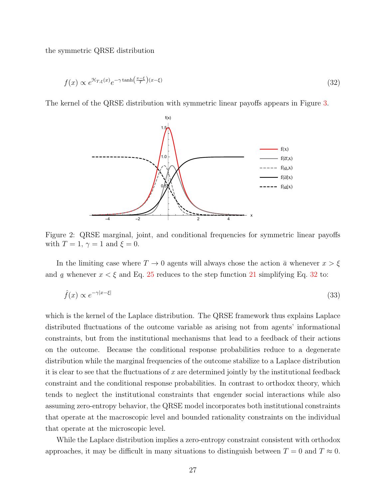the symmetric QRSE distribution

$$
f(x) \propto e^{\mathcal{H}_{T,\xi}(x)} e^{-\gamma \tanh\left(\frac{x-\xi}{T}\right)(x-\xi)}
$$
\n(32)

The kernel of the QRSE distribution with symmetric linear payoffs appears in Figure [3.](#page-29-0)



Figure 2: QRSE marginal, joint, and conditional frequencies for symmetric linear payoffs with  $T = 1$ ,  $\gamma = 1$  and  $\xi = 0$ .

In the limiting case where  $T \to 0$  agents will always chose the action  $\bar{a}$  whenever  $x > \xi$ and  $\underline{a}$  whenever  $x < \xi$  and Eq. [25](#page-23-0) reduces to the step function [21](#page-23-1) simplifying Eq. [32](#page-26-0) to:

$$
\hat{f}(x) \propto e^{-\gamma |x-\xi|} \tag{33}
$$

which is the kernel of the Laplace distribution. The QRSE framework thus explains Laplace distributed fluctuations of the outcome variable as arising not from agents' informational constraints, but from the institutional mechanisms that lead to a feedback of their actions on the outcome. Because the conditional response probabilities reduce to a degenerate distribution while the marginal frequencies of the outcome stabilize to a Laplace distribution it is clear to see that the fluctuations of *x* are determined jointly by the institutional feedback constraint and the conditional response probabilities. In contrast to orthodox theory, which tends to neglect the institutional constraints that engender social interactions while also assuming zero-entropy behavior, the QRSE model incorporates both institutional constraints that operate at the macroscopic level and bounded rationality constraints on the individual that operate at the microscopic level.

While the Laplace distribution implies a zero-entropy constraint consistent with orthodox approaches, it may be difficult in many situations to distinguish between  $T = 0$  and  $T \approx 0$ .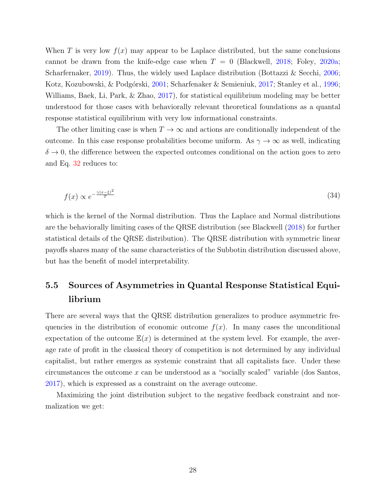When *T* is very low  $f(x)$  may appear to be Laplace distributed, but the same conclusions cannot be drawn from the knife-edge case when  $T = 0$  (Blackwell, [2018;](#page-40-7) Foley, [2020a;](#page-42-13) Scharfernaker, [2019\)](#page-44-13). Thus, the widely used Laplace distribution (Bottazzi & Secchi, [2006;](#page-40-4) Kotz, Kozubowski, & Podgórski, [2001;](#page-43-13) Scharfenaker & Semieniuk, [2017;](#page-44-1) Stanley et al., [1996;](#page-45-18) Williams, Baek, Li, Park, & Zhao, [2017\)](#page-46-4), for statistical equilibrium modeling may be better understood for those cases with behaviorally relevant theoretical foundations as a quantal response statistical equilibrium with very low informational constraints.

<span id="page-28-1"></span>The other limiting case is when  $T \to \infty$  and actions are conditionally independent of the outcome. In this case response probabilities become uniform. As  $\gamma \to \infty$  as well, indicating  $\delta \rightarrow 0$ , the difference between the expected outcomes conditional on the action goes to zero and Eq. [32](#page-26-0) reduces to:

<span id="page-28-0"></span>
$$
f(x) \propto e^{-\frac{\gamma (x-\xi)^2}{T}} \tag{34}
$$

which is the kernel of the Normal distribution. Thus the Laplace and Normal distributions are the behaviorally limiting cases of the QRSE distribution (see Blackwell [\(2018\)](#page-40-7) for further statistical details of the QRSE distribution). The QRSE distribution with symmetric linear payoffs shares many of the same characteristics of the Subbotin distribution discussed above, but has the benefit of model interpretability.

# 5.5 Sources of Asymmetries in Quantal Response Statistical Equilibrium

There are several ways that the QRSE distribution generalizes to produce asymmetric frequencies in the distribution of economic outcome  $f(x)$ . In many cases the unconditional expectation of the outcome  $E(x)$  is determined at the system level. For example, the average rate of profit in the classical theory of competition is not determined by any individual capitalist, but rather emerges as systemic constraint that all capitalists face. Under these circumstances the outcome *x* can be understood as a "socially scaled" variable (dos Santos, [2017\)](#page-41-10), which is expressed as a constraint on the average outcome.

Maximizing the joint distribution subject to the negative feedback constraint and normalization we get: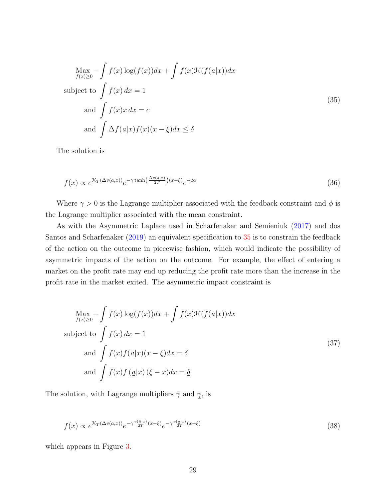$$
\begin{aligned}\n\text{Max}_{f(x)\geq 0} - \int f(x) \log(f(x)) dx + \int f(x) \mathcal{H}(f(a|x)) dx \\
\text{subject to } \int f(x) dx = 1 \\
\text{and } \int f(x)x dx = c \\
\text{and } \int \Delta f(a|x) f(x)(x - \xi) dx \leq \delta\n\end{aligned}
$$
\n(35)

<span id="page-29-0"></span>The solution is

$$
f(x) \propto e^{\mathcal{H}_T(\Delta v(a,x))} e^{-\gamma \tanh\left(\frac{\Delta v(a,x)}{2T}\right)(x-\xi)} e^{-\phi x}
$$
\n(36)

Where  $\gamma > 0$  is the Lagrange multiplier associated with the feedback constraint and  $\phi$  is the Lagrange multiplier associated with the mean constraint.

As with the Asymmetric Laplace used in Scharfenaker and Semieniuk [\(2017\)](#page-44-1) and dos Santos and Scharfenaker [\(2019\)](#page-41-4) an equivalent specification to [35](#page-28-0) is to constrain the feedback of the action on the outcome in piecewise fashion, which would indicate the possibility of asymmetric impacts of the action on the outcome. For example, the effect of entering a market on the profit rate may end up reducing the profit rate more than the increase in the profit rate in the market exited. The asymmetric impact constraint is

<span id="page-29-1"></span>
$$
\lim_{f(x)\geq 0} -\int f(x)\log(f(x))dx + \int f(x)\mathfrak{H}(f(a|x))dx
$$
\nsubject to\n
$$
\int f(x)\,dx = 1
$$
\nand\n
$$
\int f(x)f(\bar{a}|x)(x-\xi)dx = \bar{\delta}
$$
\nand\n
$$
\int f(x)f(a|x)(\xi - x)dx = \underline{\delta}
$$
\n(37)

The solution, with Lagrange multipliers  $\bar{\gamma}$  and  $\gamma$ , is

$$
f(x) \propto e^{\mathcal{H}_T(\Delta v(a,x))} e^{-\bar{\gamma}\frac{v(\bar{a}|x)}{2T}(x-\xi)} e^{-\frac{\gamma v(\underline{a}|x)}{2T}(x-\xi)} \tag{38}
$$

which appears in Figure [3.](#page-29-0)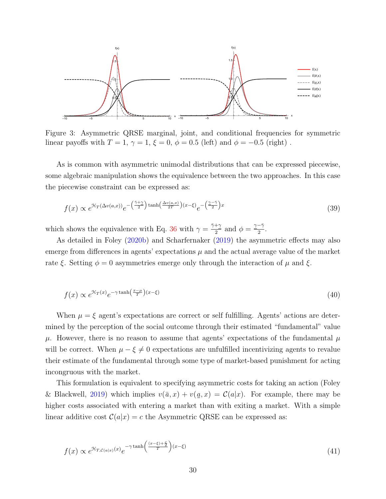

Figure 3: Asymmetric QRSE marginal, joint, and conditional frequencies for symmetric linear payoffs with  $T = 1$ ,  $\gamma = 1$ ,  $\xi = 0$ ,  $\phi = 0.5$  (left) and  $\phi = -0.5$  (right).

As is common with asymmetric unimodal distributions that can be expressed piecewise, some algebraic manipulation shows the equivalence between the two approaches. In this case the piecewise constraint can be expressed as:

$$
f(x) \propto e^{\mathcal{H}_T(\Delta v(a,x))} e^{-\left(\frac{\bar{\gamma} + \gamma}{2}\right) \tanh\left(\frac{\Delta v(a,x)}{2T}\right)(x-\xi)} e^{-\left(\frac{\gamma - \bar{\gamma}}{2}\right)x}
$$
\n(39)

which shows the equivalence with Eq. [36](#page-28-1) with  $\gamma = \frac{\bar{\gamma} + \gamma}{2}$  and  $\phi = \frac{\gamma - \bar{\gamma}}{2}$ .

As detailed in Foley  $(2020b)$  and Scharfernaker  $(2019)$  the asymmetric effects may also emerge from differences in agents' expectations  $\mu$  and the actual average value of the market rate  $\xi$ . Setting  $\phi = 0$  asymmetries emerge only through the interaction of  $\mu$  and  $\xi$ .

$$
f(x) \propto e^{\mathcal{H}_T(x)} e^{-\gamma \tanh\left(\frac{x-\mu}{T}\right)(x-\xi)}
$$
\n(40)

When  $\mu = \xi$  agent's expectations are correct or self fulfilling. Agents' actions are determined by the perception of the social outcome through their estimated "fundamental" value  $\mu$ . However, there is no reason to assume that agents' expectations of the fundamental  $\mu$ will be correct. When  $\mu - \xi \neq 0$  expectations are unfulfilled incentivizing agents to revalue their estimate of the fundamental through some type of market-based punishment for acting incongruous with the market.

This formulation is equivalent to specifying asymmetric costs for taking an action (Foley & Blackwell, [2019\)](#page-42-15) which implies  $v(\bar{a}, x) + v(\underline{a}, x) = C(a|x)$ . For example, there may be higher costs associated with entering a market than with exiting a market. With a simple linear additive cost  $\mathcal{C}(a|x) = c$  the Asymmetric QRSE can be expressed as:

$$
f(x) \propto e^{\mathcal{H}_{T,C(a|x)}(x)} e^{-\gamma \tanh\left(\frac{(x-\xi)+\frac{c}{2}}{T}\right)(x-\xi)}
$$
(41)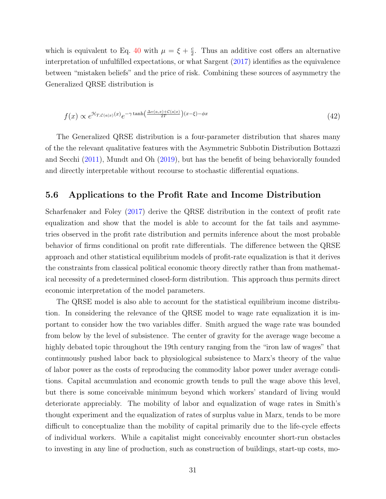which is equivalent to Eq. [40](#page-29-1) with  $\mu = \xi + \frac{c}{2}$ . Thus an additive cost offers an alternative interpretation of unfulfilled expectations, or what Sargent [\(2017\)](#page-44-14) identifies as the equivalence between "mistaken beliefs" and the price of risk. Combining these sources of asymmetry the Generalized QRSE distribution is

$$
f(x) \propto e^{\mathcal{H}_{T, \mathcal{C}(a|x)}(x)} e^{-\gamma \tanh\left(\frac{\Delta v(a,x) + \mathcal{C}(a|x)}{2T}\right)(x-\xi) - \phi x}
$$
\n(42)

The Generalized QRSE distribution is a four-parameter distribution that shares many of the the relevant qualitative features with the Asymmetric Subbotin Distribution Bottazzi and Secchi [\(2011\)](#page-40-9), Mundt and Oh [\(2019\)](#page-43-14), but has the benefit of being behaviorally founded and directly interpretable without recourse to stochastic differential equations.

#### 5.6 Applications to the Profit Rate and Income Distribution

Scharfenaker and Foley [\(2017\)](#page-44-6) derive the QRSE distribution in the context of profit rate equalization and show that the model is able to account for the fat tails and asymmetries observed in the profit rate distribution and permits inference about the most probable behavior of firms conditional on profit rate differentials. The difference between the QRSE approach and other statistical equilibrium models of profit-rate equalization is that it derives the constraints from classical political economic theory directly rather than from mathematical necessity of a predetermined closed-form distribution. This approach thus permits direct economic interpretation of the model parameters.

The QRSE model is also able to account for the statistical equilibrium income distribution. In considering the relevance of the QRSE model to wage rate equalization it is important to consider how the two variables differ. Smith argued the wage rate was bounded from below by the level of subsistence. The center of gravity for the average wage become a highly debated topic throughout the 19th century ranging from the "iron law of wages" that continuously pushed labor back to physiological subsistence to Marx's theory of the value of labor power as the costs of reproducing the commodity labor power under average conditions. Capital accumulation and economic growth tends to pull the wage above this level, but there is some conceivable minimum beyond which workers' standard of living would deteriorate appreciably. The mobility of labor and equalization of wage rates in Smith's thought experiment and the equalization of rates of surplus value in Marx, tends to be more difficult to conceptualize than the mobility of capital primarily due to the life-cycle effects of individual workers. While a capitalist might conceivably encounter short-run obstacles to investing in any line of production, such as construction of buildings, start-up costs, mo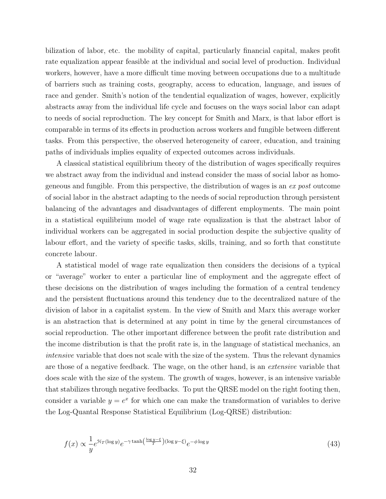bilization of labor, etc. the mobility of capital, particularly financial capital, makes profit rate equalization appear feasible at the individual and social level of production. Individual workers, however, have a more difficult time moving between occupations due to a multitude of barriers such as training costs, geography, access to education, language, and issues of race and gender. Smith's notion of the tendential equalization of wages, however, explicitly abstracts away from the individual life cycle and focuses on the ways social labor can adapt to needs of social reproduction. The key concept for Smith and Marx, is that labor effort is comparable in terms of its effects in production across workers and fungible between different tasks. From this perspective, the observed heterogeneity of career, education, and training paths of individuals implies equality of expected outcomes across individuals.

<span id="page-32-0"></span>A classical statistical equilibrium theory of the distribution of wages specifically requires we abstract away from the individual and instead consider the mass of social labor as homogeneous and fungible. From this perspective, the distribution of wages is an *ex post* outcome of social labor in the abstract adapting to the needs of social reproduction through persistent balancing of the advantages and disadvantages of different employments. The main point in a statistical equilibrium model of wage rate equalization is that the abstract labor of individual workers can be aggregated in social production despite the subjective quality of labour effort, and the variety of specific tasks, skills, training, and so forth that constitute concrete labour.

A statistical model of wage rate equalization then considers the decisions of a typical or "average" worker to enter a particular line of employment and the aggregate effect of these decisions on the distribution of wages including the formation of a central tendency and the persistent fluctuations around this tendency due to the decentralized nature of the division of labor in a capitalist system. In the view of Smith and Marx this average worker is an abstraction that is determined at any point in time by the general circumstances of social reproduction. The other important difference between the profit rate distribution and the income distribution is that the profit rate is, in the language of statistical mechanics, an *intensive* variable that does not scale with the size of the system. Thus the relevant dynamics are those of a negative feedback. The wage, on the other hand, is an *extensive* variable that does scale with the size of the system. The growth of wages, however, is an intensive variable that stabilizes through negative feedbacks. To put the QRSE model on the right footing then, consider a variable  $y = e^x$  for which one can make the transformation of variables to derive the Log-Quantal Response Statistical Equilibrium (Log-QRSE) distribution:

$$
f(x) \propto \frac{1}{y} e^{\mathcal{H}_T(\log y)} e^{-\gamma \tanh\left(\frac{\log y - \xi}{T}\right)(\log y - \xi)} e^{-\phi \log y}
$$
 (43)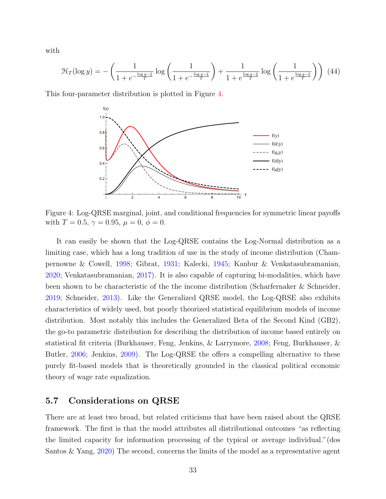with

$$
\mathcal{H}_T(\log y) = -\left(\frac{1}{1 + e^{-\frac{\log y - \xi}{T}}}\log\left(\frac{1}{1 + e^{-\frac{\log y - \xi}{T}}}\right) + \frac{1}{1 + e^{\frac{\log y - \xi}{T}}}\log\left(\frac{1}{1 + e^{\frac{\log y - \xi}{T}}}\right)\right)
$$
(44)

This four-parameter distribution is plotted in Figure [4.](#page-32-0)



Figure 4: Log-QRSE marginal, joint, and conditional frequencies for symmetric linear payoffs with  $T = 0.5$ ,  $\gamma = 0.95$ ,  $\mu = 0$ ,  $\phi = 0$ .

It can easily be shown that the Log-QRSE contains the Log-Normal distribution as a limiting case, which has a long tradition of use in the study of income distribution (Champernowne & Cowell, [1998;](#page-41-12) Gibrat, [1931;](#page-42-6) Kalecki, [1945;](#page-43-5) Kanbur & Venkatasubramanian, [2020;](#page-43-15) Venkatasubramanian, [2017\)](#page-45-19). It is also capable of capturing bi-modalities, which have been shown to be characteristic of the the income distribution (Scharfernaker & Schneider, [2019;](#page-44-15) Schneider, [2013\)](#page-44-16). Like the Generalized QRSE model, the Log-QRSE also exhibits characteristics of widely used, but poorly theorized statistical equilibrium models of income distribution. Most notably this includes the Generalized Beta of the Second Kind (GB2), the go-to parametric distribution for describing the distribution of income based entirely on statistical fit criteria (Burkhauser, Feng, Jenkins, & Larrymore, [2008;](#page-40-10) Feng, Burkhauser, & Butler, [2006;](#page-41-13) Jenkins, [2009\)](#page-43-16). The Log-QRSE the offers a compelling alternative to these purely fit-based models that is theoretically grounded in the classical political economic theory of wage rate equalization.

#### 5.7 Considerations on QRSE

There are at least two broad, but related criticisms that have been raised about the QRSE framework. The first is that the model attributes all distributional outcomes "as reflecting the limited capacity for information processing of the typical or average individual."(dos Santos & Yang, [2020\)](#page-41-11) The second, concerns the limits of the model as a representative agent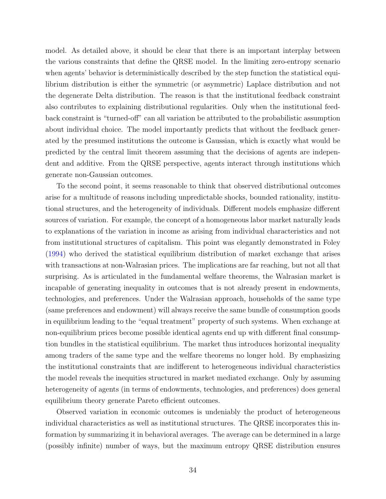model. As detailed above, it should be clear that there is an important interplay between the various constraints that define the QRSE model. In the limiting zero-entropy scenario when agents' behavior is deterministically described by the step function the statistical equilibrium distribution is either the symmetric (or asymmetric) Laplace distribution and not the degenerate Delta distribution. The reason is that the institutional feedback constraint also contributes to explaining distributional regularities. Only when the institutional feedback constraint is "turned-off" can all variation be attributed to the probabilistic assumption about individual choice. The model importantly predicts that without the feedback generated by the presumed institutions the outcome is Gaussian, which is exactly what would be predicted by the central limit theorem assuming that the decisions of agents are independent and additive. From the QRSE perspective, agents interact through institutions which generate non-Gaussian outcomes.

To the second point, it seems reasonable to think that observed distributional outcomes arise for a multitude of reasons including unpredictable shocks, bounded rationality, institutional structures, and the heterogeneity of individuals. Different models emphasize different sources of variation. For example, the concept of a homogeneous labor market naturally leads to explanations of the variation in income as arising from individual characteristics and not from institutional structures of capitalism. This point was elegantly demonstrated in Foley [\(1994\)](#page-41-6) who derived the statistical equilibrium distribution of market exchange that arises with transactions at non-Walrasian prices. The implications are far reaching, but not all that surprising. As is articulated in the fundamental welfare theorems, the Walrasian market is incapable of generating inequality in outcomes that is not already present in endowments, technologies, and preferences. Under the Walrasian approach, households of the same type (same preferences and endowment) will always receive the same bundle of consumption goods in equilibrium leading to the "equal treatment" property of such systems. When exchange at non-equilibrium prices become possible identical agents end up with different final consumption bundles in the statistical equilibrium. The market thus introduces horizontal inequality among traders of the same type and the welfare theorems no longer hold. By emphasizing the institutional constraints that are indifferent to heterogeneous individual characteristics the model reveals the inequities structured in market mediated exchange. Only by assuming heterogeneity of agents (in terms of endowments, technologies, and preferences) does general equilibrium theory generate Pareto efficient outcomes.

<span id="page-34-0"></span>Observed variation in economic outcomes is undeniably the product of heterogeneous individual characteristics as well as institutional structures. The QRSE incorporates this information by summarizing it in behavioral averages. The average can be determined in a large (possibly infinite) number of ways, but the maximum entropy QRSE distribution ensures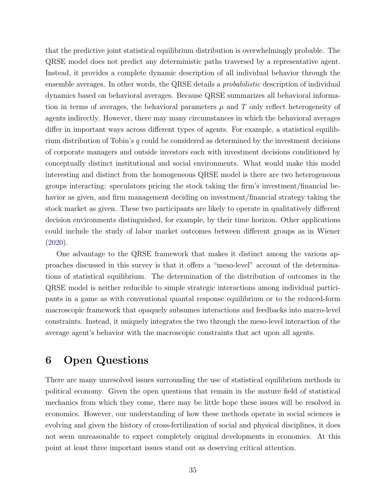that the predictive joint statistical equilibrium distribution is overwhelmingly probable. The QRSE model does not predict any deterministic paths traversed by a representative agent. Instead, it provides a complete dynamic description of all individual behavior through the ensemble averages. In other words, the QRSE details a *probabilistic* description of individual dynamics based on behavioral averages. Because QRSE summarizes all behavioral information in terms of averages, the behavioral parameters  $\mu$  and  $T$  only reflect heterogeneity of agents indirectly. However, there may many circumstances in which the behavioral averages differ in important ways across different types of agents. For example, a statistical equilibrium distribution of Tobin's *q* could be considered as determined by the investment decisions of corporate managers and outside investors each with investment decisions conditioned by conceptually distinct institutional and social environments. What would make this model interesting and distinct from the homogeneous QRSE model is there are two heterogeneous groups interacting: speculators pricing the stock taking the firm's investment/financial behavior as given, and firm management deciding on investment/financial strategy taking the stock market as given. These two participants are likely to operate in qualitatively different decision environments distinguished, for example, by their time horizon. Other applications could include the study of labor market outcomes between different groups as in Wiener  $(2020).$  $(2020).$ 

One advantage to the QRSE framework that makes it distinct among the various approaches discussed in this survey is that it offers a "meso-level" account of the determinations of statistical equilibrium. The determination of the distribution of outcomes in the QRSE model is neither reducible to simple strategic interactions among individual participants in a game as with conventional quantal response equilibrium or to the reduced-form macroscopic framework that opaquely subsumes interactions and feedbacks into macro-level constraints. Instead, it uniquely integrates the two through the meso-level interaction of the average agent's behavior with the macroscopic constraints that act upon all agents.

# 6 Open Questions

There are many unresolved issues surrounding the use of statistical equilibrium methods in political economy. Given the open questions that remain in the mature field of statistical mechanics from which they come, there may be little hope these issues will be resolved in economics. However, our understanding of how these methods operate in social sciences is evolving and given the history of cross-fertilization of social and physical disciplines, it does not seem unreasonable to expect completely original developments in economics. At this point at least three important issues stand out as deserving critical attention.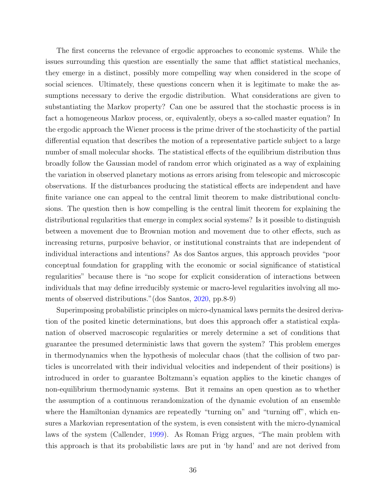The first concerns the relevance of ergodic approaches to economic systems. While the issues surrounding this question are essentially the same that afflict statistical mechanics, they emerge in a distinct, possibly more compelling way when considered in the scope of social sciences. Ultimately, these questions concern when it is legitimate to make the assumptions necessary to derive the ergodic distribution. What considerations are given to substantiating the Markov property? Can one be assured that the stochastic process is in fact a homogeneous Markov process, or, equivalently, obeys a so-called master equation? In the ergodic approach the Wiener process is the prime driver of the stochasticity of the partial differential equation that describes the motion of a representative particle subject to a large number of small molecular shocks. The statistical effects of the equilibrium distribution thus broadly follow the Gaussian model of random error which originated as a way of explaining the variation in observed planetary motions as errors arising from telescopic and microscopic observations. If the disturbances producing the statistical effects are independent and have finite variance one can appeal to the central limit theorem to make distributional conclusions. The question then is how compelling is the central limit theorem for explaining the distributional regularities that emerge in complex social systems? Is it possible to distinguish between a movement due to Brownian motion and movement due to other effects, such as increasing returns, purposive behavior, or institutional constraints that are independent of individual interactions and intentions? As dos Santos argues, this approach provides "poor conceptual foundation for grappling with the economic or social significance of statistical regularities" because there is "no scope for explicit consideration of interactions between individuals that may define irreducibly systemic or macro-level regularities involving all moments of observed distributions."(dos Santos, [2020,](#page-41-1) pp.8-9)

Superimposing probabilistic principles on micro-dynamical laws permits the desired derivation of the posited kinetic determinations, but does this approach offer a statistical explanation of observed macroscopic regularities or merely determine a set of conditions that guarantee the presumed deterministic laws that govern the system? This problem emerges in thermodynamics when the hypothesis of molecular chaos (that the collision of two particles is uncorrelated with their individual velocities and independent of their positions) is introduced in order to guarantee Boltzmann's equation applies to the kinetic changes of non-equilibrium thermodynamic systems. But it remains an open question as to whether the assumption of a continuous rerandomization of the dynamic evolution of an ensemble where the Hamiltonian dynamics are repeatedly "turning on" and "turning off", which ensures a Markovian representation of the system, is even consistent with the micro-dynamical laws of the system (Callender, [1999\)](#page-40-3). As Roman Frigg argues, "The main problem with this approach is that its probabilistic laws are put in 'by hand' and are not derived from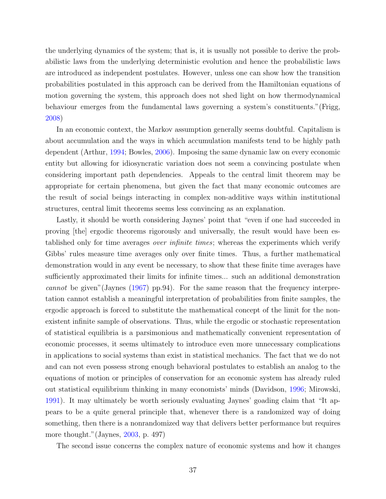the underlying dynamics of the system; that is, it is usually not possible to derive the probabilistic laws from the underlying deterministic evolution and hence the probabilistic laws are introduced as independent postulates. However, unless one can show how the transition probabilities postulated in this approach can be derived from the Hamiltonian equations of motion governing the system, this approach does not shed light on how thermodynamical behaviour emerges from the fundamental laws governing a system's constituents."(Frigg, [2008\)](#page-42-16)

In an economic context, the Markov assumption generally seems doubtful. Capitalism is about accumulation and the ways in which accumulation manifests tend to be highly path dependent (Arthur, [1994;](#page-40-11) Bowles, [2006\)](#page-40-12). Imposing the same dynamic law on every economic entity but allowing for idiosyncratic variation does not seem a convincing postulate when considering important path dependencies. Appeals to the central limit theorem may be appropriate for certain phenomena, but given the fact that many economic outcomes are the result of social beings interacting in complex non-additive ways within institutional structures, central limit theorems seems less convincing as an explanation.

Lastly, it should be worth considering Jaynes' point that "even if one had succeeded in proving [the] ergodic theorems rigorously and universally, the result would have been established only for time averages *over infinite times*; whereas the experiments which verify Gibbs' rules measure time averages only over finite times. Thus, a further mathematical demonstration would in any event be necessary, to show that these finite time averages have sufficiently approximated their limits for infinite times... such an additional demonstration *cannot* be given"(Jaynes [\(1967\)](#page-42-5) pp.94). For the same reason that the frequency interpretation cannot establish a meaningful interpretation of probabilities from finite samples, the ergodic approach is forced to substitute the mathematical concept of the limit for the nonexistent infinite sample of observations. Thus, while the ergodic or stochastic representation of statistical equilibria is a parsimonious and mathematically convenient representation of economic processes, it seems ultimately to introduce even more unnecessary complications in applications to social systems than exist in statistical mechanics. The fact that we do not and can not even possess strong enough behavioral postulates to establish an analog to the equations of motion or principles of conservation for an economic system has already ruled out statistical equilibrium thinking in many economists' minds (Davidson, [1996;](#page-41-14) Mirowski, [1991\)](#page-43-17). It may ultimately be worth seriously evaluating Jaynes' goading claim that "It appears to be a quite general principle that, whenever there is a randomized way of doing something, then there is a nonrandomized way that delivers better performance but requires more thought."(Jaynes, [2003,](#page-42-17) p. 497)

The second issue concerns the complex nature of economic systems and how it changes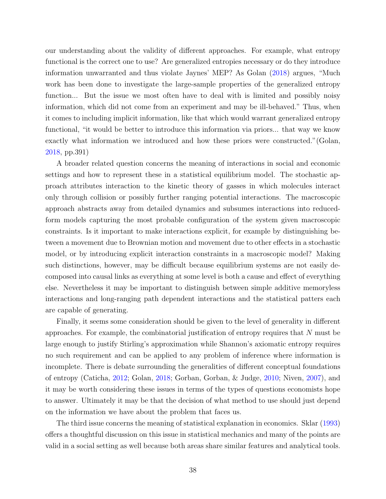our understanding about the validity of different approaches. For example, what entropy functional is the correct one to use? Are generalized entropies necessary or do they introduce information unwarranted and thus violate Jaynes' MEP? As Golan [\(2018\)](#page-42-3) argues, "Much work has been done to investigate the large-sample properties of the generalized entropy function... But the issue we most often have to deal with is limited and possibly noisy information, which did not come from an experiment and may be ill-behaved." Thus, when it comes to including implicit information, like that which would warrant generalized entropy functional, "it would be better to introduce this information via priors... that way we know exactly what information we introduced and how these priors were constructed."(Golan, [2018,](#page-42-3) pp.391)

A broader related question concerns the meaning of interactions in social and economic settings and how to represent these in a statistical equilibrium model. The stochastic approach attributes interaction to the kinetic theory of gasses in which molecules interact only through collision or possibly further ranging potential interactions. The macroscopic approach abstracts away from detailed dynamics and subsumes interactions into reducedform models capturing the most probable configuration of the system given macroscopic constraints. Is it important to make interactions explicit, for example by distinguishing between a movement due to Brownian motion and movement due to other effects in a stochastic model, or by introducing explicit interaction constraints in a macroscopic model? Making such distinctions, however, may be difficult because equilibrium systems are not easily decomposed into causal links as everything at some level is both a cause and effect of everything else. Nevertheless it may be important to distinguish between simple additive memoryless interactions and long-ranging path dependent interactions and the statistical patters each are capable of generating.

Finally, it seems some consideration should be given to the level of generality in different approaches. For example, the combinatorial justification of entropy requires that *N* must be large enough to justify Stirling's approximation while Shannon's axiomatic entropy requires no such requirement and can be applied to any problem of inference where information is incomplete. There is debate surrounding the generalities of different conceptual foundations of entropy (Caticha, [2012;](#page-41-15) Golan, [2018;](#page-42-3) Gorban, Gorban, & Judge, [2010;](#page-42-18) Niven, [2007\)](#page-44-17), and it may be worth considering these issues in terms of the types of questions economists hope to answer. Ultimately it may be that the decision of what method to use should just depend on the information we have about the problem that faces us.

<span id="page-38-0"></span>The third issue concerns the meaning of statistical explanation in economics. Sklar [\(1993\)](#page-45-1) offers a thoughtful discussion on this issue in statistical mechanics and many of the points are valid in a social setting as well because both areas share similar features and analytical tools.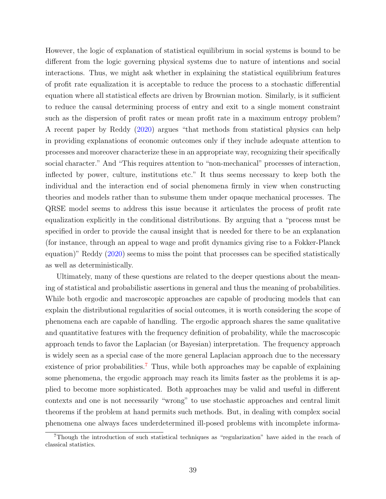However, the logic of explanation of statistical equilibrium in social systems is bound to be different from the logic governing physical systems due to nature of intentions and social interactions. Thus, we might ask whether in explaining the statistical equilibrium features of profit rate equalization it is acceptable to reduce the process to a stochastic differential equation where all statistical effects are driven by Brownian motion. Similarly, is it sufficient to reduce the causal determining process of entry and exit to a single moment constraint such as the dispersion of profit rates or mean profit rate in a maximum entropy problem? A recent paper by Reddy [\(2020\)](#page-44-2) argues "that methods from statistical physics can help in providing explanations of economic outcomes only if they include adequate attention to processes and moreover characterize these in an appropriate way, recognizing their specifically social character." And "This requires attention to "non-mechanical" processes of interaction, inflected by power, culture, institutions etc." It thus seems necessary to keep both the individual and the interaction end of social phenomena firmly in view when constructing theories and models rather than to subsume them under opaque mechanical processes. The QRSE model seems to address this issue because it articulates the process of profit rate equalization explicitly in the conditional distributions. By arguing that a "process must be specified in order to provide the causal insight that is needed for there to be an explanation (for instance, through an appeal to wage and profit dynamics giving rise to a Fokker-Planck equation)" Reddy [\(2020\)](#page-44-2) seems to miss the point that processes can be specified statistically as well as deterministically.

Ultimately, many of these questions are related to the deeper questions about the meaning of statistical and probabilistic assertions in general and thus the meaning of probabilities. While both ergodic and macroscopic approaches are capable of producing models that can explain the distributional regularities of social outcomes, it is worth considering the scope of phenomena each are capable of handling. The ergodic approach shares the same qualitative and quantitative features with the frequency definition of probability, while the macroscopic approach tends to favor the Laplacian (or Bayesian) interpretation. The frequency approach is widely seen as a special case of the more general Laplacian approach due to the necessary existence of prior probabilities.<sup>[7](#page-38-0)</sup> Thus, while both approaches may be capable of explaining some phenomena, the ergodic approach may reach its limits faster as the problems it is applied to become more sophisticated. Both approaches may be valid and useful in different contexts and one is not necessarily "wrong" to use stochastic approaches and central limit theorems if the problem at hand permits such methods. But, in dealing with complex social phenomena one always faces underdetermined ill-posed problems with incomplete informa-

<sup>7</sup>Though the introduction of such statistical techniques as "regularization" have aided in the reach of classical statistics.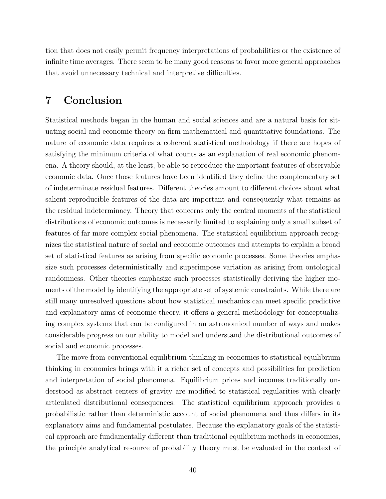tion that does not easily permit frequency interpretations of probabilities or the existence of infinite time averages. There seem to be many good reasons to favor more general approaches that avoid unnecessary technical and interpretive difficulties.

# 7 Conclusion

<span id="page-40-11"></span><span id="page-40-8"></span><span id="page-40-7"></span><span id="page-40-2"></span><span id="page-40-0"></span>Statistical methods began in the human and social sciences and are a natural basis for situating social and economic theory on firm mathematical and quantitative foundations. The nature of economic data requires a coherent statistical methodology if there are hopes of satisfying the minimum criteria of what counts as an explanation of real economic phenomena. A theory should, at the least, be able to reproduce the important features of observable economic data. Once those features have been identified they define the complementary set of indeterminate residual features. Different theories amount to different choices about what salient reproducible features of the data are important and consequently what remains as the residual indeterminacy. Theory that concerns only the central moments of the statistical distributions of economic outcomes is necessarily limited to explaining only a small subset of features of far more complex social phenomena. The statistical equilibrium approach recognizes the statistical nature of social and economic outcomes and attempts to explain a broad set of statistical features as arising from specific economic processes. Some theories emphasize such processes deterministically and superimpose variation as arising from ontological randomness. Other theories emphasize such processes statistically deriving the higher moments of the model by identifying the appropriate set of systemic constraints. While there are still many unresolved questions about how statistical mechanics can meet specific predictive and explanatory aims of economic theory, it offers a general methodology for conceptualizing complex systems that can be configured in an astronomical number of ways and makes considerable progress on our ability to model and understand the distributional outcomes of social and economic processes.

<span id="page-40-12"></span><span id="page-40-10"></span><span id="page-40-9"></span><span id="page-40-6"></span><span id="page-40-5"></span><span id="page-40-4"></span><span id="page-40-3"></span><span id="page-40-1"></span>The move from conventional equilibrium thinking in economics to statistical equilibrium thinking in economics brings with it a richer set of concepts and possibilities for prediction and interpretation of social phenomena. Equilibrium prices and incomes traditionally understood as abstract centers of gravity are modified to statistical regularities with clearly articulated distributional consequences. The statistical equilibrium approach provides a probabilistic rather than deterministic account of social phenomena and thus differs in its explanatory aims and fundamental postulates. Because the explanatory goals of the statistical approach are fundamentally different than traditional equilibrium methods in economics, the principle analytical resource of probability theory must be evaluated in the context of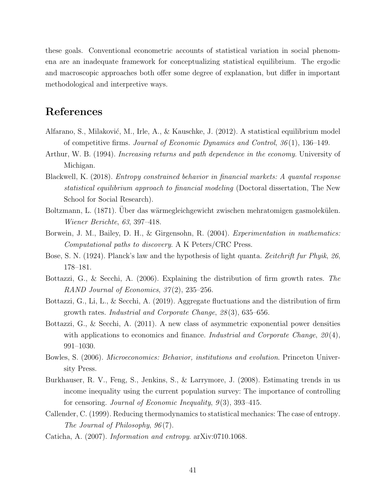<span id="page-41-15"></span><span id="page-41-12"></span>these goals. Conventional econometric accounts of statistical variation in social phenomena are an inadequate framework for conceptualizing statistical equilibrium. The ergodic and macroscopic approaches both offer some degree of explanation, but differ in important methodological and interpretive ways.

### <span id="page-41-2"></span>References

- <span id="page-41-3"></span>Alfarano, S., Milaković, M., Irle, A., & Kauschke, J. (2012). A statistical equilibrium model of competitive firms. *Journal of Economic Dynamics and Control*, *36* (1), 136–149.
- <span id="page-41-14"></span>Arthur, W. B. (1994). *Increasing returns and path dependence in the economy*. University of Michigan.
- <span id="page-41-10"></span><span id="page-41-1"></span>Blackwell, K. (2018). *Entropy constrained behavior in financial markets: A quantal response statistical equilibrium approach to financial modeling* (Doctoral dissertation, The New School for Social Research).
- <span id="page-41-4"></span>Boltzmann, L. (1871). Uber das wärmegleichgewicht zwischen mehratomigen gasmolekülen. *Wiener Berichte*, *63*, 397–418.
- <span id="page-41-5"></span>Borwein, J. M., Bailey, D. H., & Girgensohn, R. (2004). *Experimentation in mathematics: Computational paths to discovery*. A K Peters/CRC Press.
- <span id="page-41-11"></span>Bose, S. N. (1924). Planck's law and the hypothesis of light quanta. *Zeitchrift fur Phyik*, *26*, 178–181.
- <span id="page-41-7"></span>Bottazzi, G., & Secchi, A. (2006). Explaining the distribution of firm growth rates. *The RAND Journal of Economics*, *37* (2), 235–256.
- Bottazzi, G., Li, L., & Secchi, A. (2019). Aggregate fluctuations and the distribution of firm growth rates. *Industrial and Corporate Change*, *28* (3), 635–656.
- <span id="page-41-9"></span>Bottazzi, G., & Secchi, A. (2011). A new class of asymmetric exponential power densities with applications to economics and finance. *Industrial and Corporate Change*, *20* (4), 991–1030.
- <span id="page-41-8"></span>Bowles, S. (2006). *Microeconomics: Behavior, institutions and evolution*. Princeton University Press.
- <span id="page-41-13"></span><span id="page-41-0"></span>Burkhauser, R. V., Feng, S., Jenkins, S., & Larrymore, J. (2008). Estimating trends in us income inequality using the current population survey: The importance of controlling for censoring. *Journal of Economic Inequality*, *9* (3), 393–415.
- Callender, C. (1999). Reducing thermodynamics to statistical mechanics: The case of entropy. *The Journal of Philosophy*, *96* (7).
- <span id="page-41-6"></span>Caticha, A. (2007). *Information and entropy*. arXiv:0710.1068.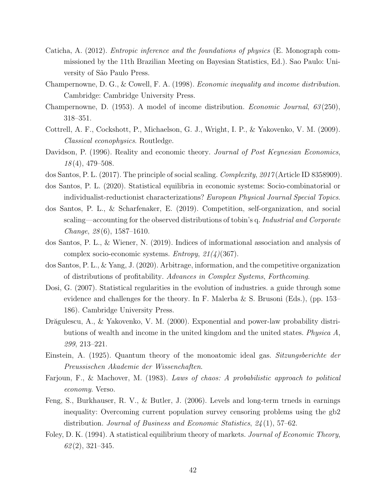- <span id="page-42-0"></span>Caticha, A. (2012). *Entropic inference and the foundations of physics* (E. Monograph commissioned by the 11th Brazilian Meeting on Bayesian Statistics, Ed.). Sao Paulo: University of São Paulo Press.
- <span id="page-42-14"></span><span id="page-42-13"></span>Champernowne, D. G., & Cowell, F. A. (1998). *Economic inequality and income distribution*. Cambridge: Cambridge University Press.
- Champernowne, D. (1953). A model of income distribution. *Economic Journal*, *63* (250), 318–351.
- <span id="page-42-15"></span>Cottrell, A. F., Cockshott, P., Michaelson, G. J., Wright, I. P., & Yakovenko, V. M. (2009). *Classical econophysics*. Routledge.
- <span id="page-42-9"></span>Davidson, P. (1996). Reality and economic theory. *Journal of Post Keynesian Economics*, *18* (4), 479–508.
- <span id="page-42-16"></span>dos Santos, P. L. (2017). The principle of social scaling. *Complexity*, *2017* (Article ID 8358909).
- <span id="page-42-11"></span>dos Santos, P. L. (2020). Statistical equilibria in economic systems: Socio-combinatorial or individualist-reductionist characterizations? *European Physical Journal Special Topics*.
- <span id="page-42-7"></span>dos Santos, P. L., & Scharfenaker, E. (2019). Competition, self-organization, and social scaling—accounting for the observed distributions of tobin's q. *Industrial and Corporate Change*, *28* (6), 1587–1610.
- <span id="page-42-6"></span><span id="page-42-1"></span>dos Santos, P. L., & Wiener, N. (2019). Indices of informational association and analysis of complex socio-economic systems. *Entropy*, *21(4)*(367).
- <span id="page-42-3"></span>dos Santos, P. L., & Yang, J. (2020). Arbitrage, information, and the competitive organization of distributions of profitability. *Advances in Complex Systems*, *Forthcoming*.
- <span id="page-42-18"></span>Dosi, G. (2007). Statistical regularities in the evolution of industries. a guide through some evidence and challenges for the theory. In F. Malerba & S. Brusoni (Eds.), (pp. 153– 186). Cambridge University Press.
- <span id="page-42-12"></span><span id="page-42-4"></span>Drăgulescu, A., & Yakovenko, V. M. (2000). Exponential and power-law probability distributions of wealth and income in the united kingdom and the united states. *Physica A*, *299*, 213–221.
- <span id="page-42-17"></span><span id="page-42-8"></span>Einstein, A. (1925). Quantum theory of the monoatomic ideal gas. *Sitzungsberichte der Preussischen Akademie der Wissenchaften*.
- <span id="page-42-5"></span>Farjoun, F., & Machover, M. (1983). *Laws of chaos: A probabilistic approach to political economy*. Verso.
- <span id="page-42-10"></span>Feng, S., Burkhauser, R. V., & Butler, J. (2006). Levels and long-term trneds in earnings inequality: Overcoming current population survey censoring problems using the gb2 distribution. *Journal of Business and Economic Statistics*, *24* (1), 57–62.
- <span id="page-42-2"></span>Foley, D. K. (1994). A statistical equilibrium theory of markets. *Journal of Economic Theory*, *62* (2), 321–345.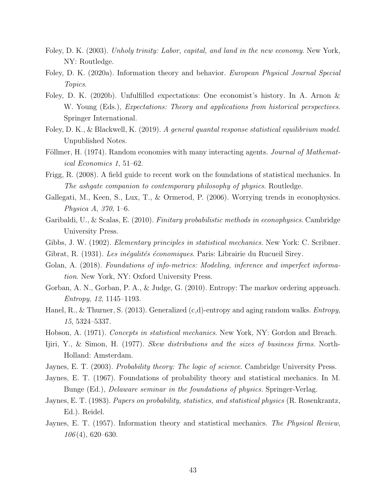- <span id="page-43-11"></span>Foley, D. K. (2003). *Unholy trinity: Labor, capital, and land in the new economy*. New York, NY: Routledge.
- <span id="page-43-16"></span>Foley, D. K. (2020a). Information theory and behavior. *European Physical Journal Special Topics*.
- <span id="page-43-12"></span>Foley, D. K. (2020b). Unfulfilled expectations: One economist's history. In A. Arnon & W. Young (Eds.), *Expectations: Theory and applications from historical perspectives*. Springer International.
- <span id="page-43-15"></span><span id="page-43-5"></span>Foley, D. K., & Blackwell, K. (2019). *A general quantal response statistical equilibrium model*. Unpublished Notes.
- <span id="page-43-2"></span>Föllmer, H. (1974). Random economies with many interacting agents. *Journal of Mathematical Economics 1*, 51–62.
- <span id="page-43-3"></span>Frigg, R. (2008). A field guide to recent work on the foundations of statistical mechanics. In *The ashgate companion to contemporary philosophy of physics*. Routledge.
- <span id="page-43-13"></span>Gallegati, M., Keen, S., Lux, T., & Ormerod, P. (2006). Worrying trends in econophysics. *Physica A*, *370*, 1–6.
- <span id="page-43-4"></span>Garibaldi, U., & Scalas, E. (2010). *Finitary probabilistic methods in econophysics*. Cambridge University Press.
- Gibbs, J. W. (1902). *Elementary principles in statistical mechanics*. New York: C. Scribner.
- <span id="page-43-0"></span>Gibrat, R. (1931). *Les inégalités économiques*. Paris: Librairie du Rucueil Sirey.
- <span id="page-43-6"></span>Golan, A. (2018). *Foundations of info-metrics: Modeling, inference and imperfect information*. New York, NY: Oxford University Press.
- <span id="page-43-7"></span>Gorban, A. N., Gorban, P. A., & Judge, G. (2010). Entropy: The markov ordering approach. *Entropy*, *12*, 1145–1193.
- <span id="page-43-1"></span>Hanel, R., & Thurner, S. (2013). Generalized (c,d)-entropy and aging random walks. *Entropy*, *15*, 5324–5337.
- Hobson, A. (1971). *Concepts in statistical mechanics*. New York, NY: Gordon and Breach.
- <span id="page-43-8"></span>Ijiri, Y., & Simon, H. (1977). *Skew distributions and the sizes of business firms*. North-Holland: Amsterdam.
- <span id="page-43-17"></span>Jaynes, E. T. (2003). *Probability theory: The logic of science*. Cambridge University Press.
- <span id="page-43-9"></span>Jaynes, E. T. (1967). Foundations of probability theory and statistical mechanics. In M. Bunge (Ed.), *Delaware seminar in the foundations of physics*. Springer-Verlag.
- <span id="page-43-10"></span>Jaynes, E. T. (1983). *Papers on probability, statistics, and statistical physics* (R. Rosenkrantz, Ed.). Reidel.
- <span id="page-43-14"></span>Jaynes, E. T. (1957). Information theory and statistical mechanics. *The Physical Review*, *106* (4), 620–630.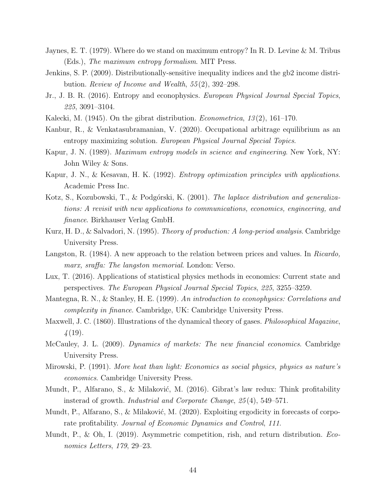- <span id="page-44-17"></span>Jaynes, E. T. (1979). Where do we stand on maximum entropy? In R. D. Levine & M. Tribus (Eds.), *The maximum entropy formalism*. MIT Press.
- <span id="page-44-11"></span>Jenkins, S. P. (2009). Distributionally-sensitive inequality indices and the gb2 income distribution. *Review of Income and Wealth*, *55* (2), 392–298.
- <span id="page-44-12"></span>Jr., J. B. R. (2016). Entropy and econophysics. *European Physical Journal Special Topics*, *225*, 3091–3104.
- Kalecki, M. (1945). On the gibrat distribution. *Econometrica*, *13* (2), 161–170.
- <span id="page-44-3"></span>Kanbur, R., & Venkatasubramanian, V. (2020). Occupational arbitrage equilibrium as an entropy maximizing solution. *European Physical Journal Special Topics*.
- <span id="page-44-4"></span><span id="page-44-2"></span>Kapur, J. N. (1989). *Maximum entropy models in science and engineering*. New York, NY: John Wiley & Sons.
- <span id="page-44-8"></span>Kapur, J. N., & Kesavan, H. K. (1992). *Entropy optimization principles with applications*. Academic Press Inc.
- <span id="page-44-9"></span>Kotz, S., Kozubowski, T., & Podgórski, K. (2001). *The laplace distribution and generalizations: A revisit with new applications to communications, economics, engineering, and finance*. Birkhauser Verlag GmbH.
- <span id="page-44-10"></span><span id="page-44-5"></span>Kurz, H. D., & Salvadori, N. (1995). *Theory of production: A long-period analysis*. Cambridge University Press.
- <span id="page-44-14"></span>Langston, R. (1984). A new approach to the relation between prices and values. In *Ricardo, marx, sraffa: The langston memorial.* London: Verso.
- <span id="page-44-6"></span>Lux, T. (2016). Applications of statistical physics methods in economics: Current state and perspectives. *The European Physical Journal Special Topics*, *225*, 3255–3259.
- <span id="page-44-1"></span>Mantegna, R. N., & Stanley, H. E. (1999). *An introduction to econophysics: Correlations and complexity in finance*. Cambridge, UK: Cambridge University Press.
- <span id="page-44-13"></span>Maxwell, J. C. (1860). Illustrations of the dynamical theory of gases. *Philosophical Magazine*, *4* (19).
- <span id="page-44-7"></span>McCauley, J. L. (2009). *Dynamics of markets: The new financial economics*. Cambridge University Press.
- <span id="page-44-15"></span>Mirowski, P. (1991). *More heat than light: Economics as social physics, physics as nature's economics*. Cambridge University Press.
- Mundt, P., Alfarano, S., & Milaković, M. (2016). Gibrat's law redux: Think profitability insterad of growth. *Industrial and Corporate Change*, *25* (4), 549–571.
- <span id="page-44-0"></span>Mundt, P., Alfarano, S., & Milaković, M.  $(2020)$ . Exploiting ergodicity in forecasts of corporate profitability. *Journal of Economic Dynamics and Control*, *111*.
- <span id="page-44-16"></span>Mundt, P., & Oh, I. (2019). Asymmetric competition, rish, and return distribution. *Economics Letters*, *179*, 29–23.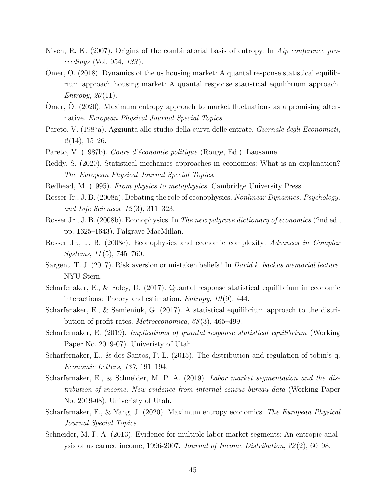- <span id="page-45-12"></span><span id="page-45-2"></span>Niven, R. K. (2007). Origins of the combinatorial basis of entropy. In *Aip conference proceedings* (Vol. 954, *133* ).
- <span id="page-45-4"></span>Omer,  $\ddot{\text{O}}$ . (2018). Dynamics of the us housing market: A quantal response statistical equilibrium approach housing market: A quantal response statistical equilibrium approach. *Entropy*, *20* (11).
- <span id="page-45-10"></span><span id="page-45-5"></span>Omer, O.  $(2020)$ . Maximum entropy approach to market fluctuations as a promising alternative. *European Physical Journal Special Topics*.
- <span id="page-45-0"></span>Pareto, V. (1987a). Aggiunta allo studio della curva delle entrate. *Giornale degli Economisti*, *2* (14), 15–26.
- Pareto, V. (1987b). *Cours d'économie politique* (Rouge, Ed.). Lausanne.
- <span id="page-45-3"></span>Reddy, S. (2020). Statistical mechanics approaches in economics: What is an explanation? *The European Physical Journal Special Topics*.
- <span id="page-45-7"></span>Redhead, M. (1995). *From physics to metaphysics*. Cambridge University Press.
- <span id="page-45-17"></span>Rosser Jr., J. B. (2008a). Debating the role of econophysics. *Nonlinear Dynamics, Psychology, and Life Sciences*, *12* (3), 311–323.
- <span id="page-45-1"></span>Rosser Jr., J. B. (2008b). Econophysics. In *The new palgrave dictionary of economics* (2nd ed., pp. 1625–1643). Palgrave MacMillan.
- <span id="page-45-15"></span>Rosser Jr., J. B. (2008c). Econophysics and economic complexity. *Advances in Complex Systems*, *11* (5), 745–760.
- <span id="page-45-18"></span>Sargent, T. J. (2017). Risk aversion or mistaken beliefs? In *David k. backus memorial lecture*. NYU Stern.
- <span id="page-45-8"></span>Scharfenaker, E., & Foley, D. (2017). Quantal response statistical equilibrium in economic interactions: Theory and estimation. *Entropy*, *19* (9), 444.
- <span id="page-45-9"></span>Scharfenaker, E., & Semieniuk, G. (2017). A statistical equilibrium approach to the distribution of profit rates. *Metroeconomica*, *68* (3), 465–499.
- <span id="page-45-14"></span><span id="page-45-11"></span>Scharfernaker, E. (2019). *Implications of quantal response statistical equilibrium* (Working Paper No. 2019-07). Univeristy of Utah.
- <span id="page-45-13"></span>Scharfernaker, E., & dos Santos, P. L. (2015). The distribution and regulation of tobin's q. *Economic Letters*, *137*, 191–194.
- <span id="page-45-6"></span>Scharfernaker, E., & Schneider, M. P. A. (2019). *Labor market segmentation and the distribution of income: New evidence from internal census bureau data* (Working Paper No. 2019-08). Univeristy of Utah.
- <span id="page-45-19"></span>Scharfernaker, E., & Yang, J. (2020). Maximum entropy economics. *The European Physical Journal Special Topics*.
- <span id="page-45-16"></span>Schneider, M. P. A. (2013). Evidence for multiple labor market segments: An entropic analysis of us earned income, 1996-2007. *Journal of Income Distribution*, *22* (2), 60–98.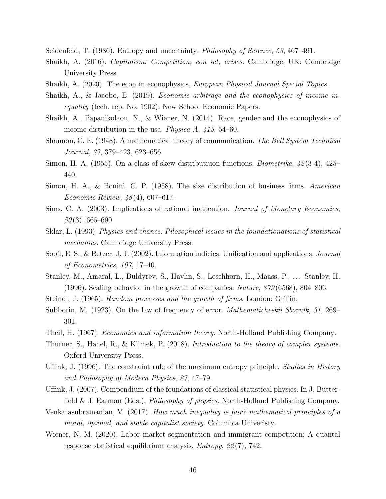<span id="page-46-4"></span>Seidenfeld, T. (1986). Entropy and uncertainty. *Philosophy of Science*, *53*, 467–491.

- <span id="page-46-3"></span>Shaikh, A. (2016). *Capitalism: Competition, con ict, crises*. Cambridge, UK: Cambridge University Press.
- Shaikh, A. (2020). The econ in econophysics. *European Physical Journal Special Topics*.
- Shaikh, A., & Jacobo, E. (2019). *Economic arbitrage and the econophysics of income inequality* (tech. rep. No. 1902). New School Economic Papers.
- <span id="page-46-0"></span>Shaikh, A., Papanikolaou, N., & Wiener, N. (2014). Race, gender and the econophysics of income distribution in the usa. *Physica A*, *415*, 54–60.
- <span id="page-46-1"></span>Shannon, C. E. (1948). A mathematical theory of communication. *The Bell System Technical Journal*, *27*, 379–423, 623–656.
- <span id="page-46-2"></span>Simon, H. A. (1955). On a class of skew distributiuon functions. *Biometrika*, *42* (3-4), 425– 440.
- Simon, H. A., & Bonini, C. P. (1958). The size distribution of business firms. *American Economic Review*, *48* (4), 607–617.
- Sims, C. A. (2003). Implications of rational inattention. *Journal of Monetary Economics*, *50* (3), 665–690.
- Sklar, L. (1993). *Physics and chance: Pilosophical issues in the foundationations of statistical mechanics*. Cambridge University Press.
- Soofi, E. S., & Retzer, J. J. (2002). Information indicies: Unification and applications. *Journal of Econometrics*, *107*, 17–40.
- Stanley, M., Amaral, L., Buldyrev, S., Havlin, S., Leschhorn, H., Maass, P., . . . Stanley, H. (1996). Scaling behavior in the growth of companies. *Nature*, *379* (6568), 804–806.
- Steindl, J. (1965). *Random processes and the growth of firms*. London: Griffin.
- Subbotin, M. (1923). On the law of frequency of error. *Mathematicheskii Sbornik*, *31*, 269– 301.
- Theil, H. (1967). *Economics and information theory*. North-Holland Publishing Company.
- Thurner, S., Hanel, R., & Klimek, P. (2018). *Introduction to the theory of complex systems*. Oxford University Press.
- Uffink, J. (1996). The constraint rule of the maximum entropy principle. *Studies in History and Philosophy of Modern Physics*, *27*, 47–79.
- Uffink, J. (2007). Compendium of the foundations of classical statistical physics. In J. Butterfield & J. Earman (Eds.), *Philosophy of physics*. North-Holland Publishing Company.
- Venkatasubramanian, V. (2017). *How much inequality is fair? mathematical principles of a moral, optimal, and stable capitalist society*. Columbia Univeristy.
- Wiener, N. M. (2020). Labor market segmentation and immigrant competition: A quantal response statistical equilibrium analysis. *Entropy*, *22* (7), 742.